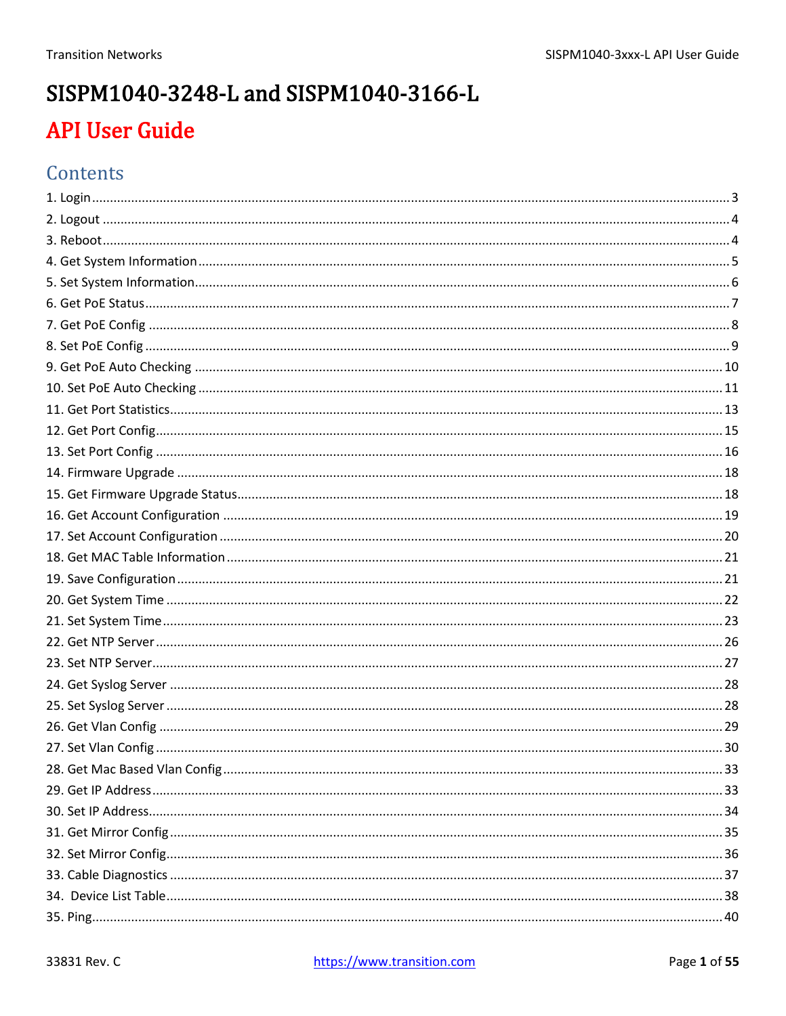# SISPM1040-3248-L and SISPM1040-3166-L **API User Guide**

### Contents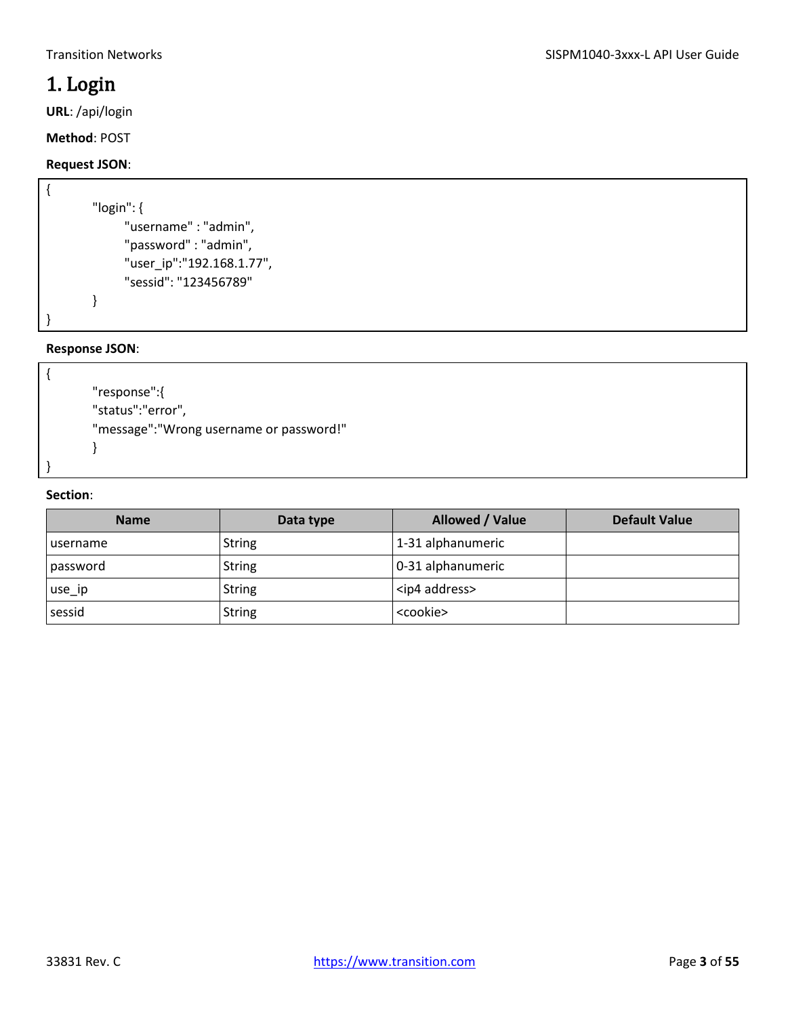### <span id="page-2-0"></span>1. Login

**URL**: /api/login

**Method**: POST

### **Request JSON**:

```
{
        "login": {
              "username" : "admin",
              "password" : "admin",
              "user_ip":"192.168.1.77",
               "sessid": "123456789"
        }
}
```
#### **Response JSON**:

```
"response":{
"status":"error",
"message":"Wrong username or password!"
}
```
#### **Section**:

{

}

| <b>Name</b>      | Data type     | Allowed / Value        | <b>Default Value</b> |
|------------------|---------------|------------------------|----------------------|
| <b>Lusername</b> | <b>String</b> | 1-31 alphanumeric      |                      |
| password         | <b>String</b> | 0-31 alphanumeric      |                      |
| use_ip           | <b>String</b> | <ip4 address=""></ip4> |                      |
| sessid           | <b>String</b> | <cookie></cookie>      |                      |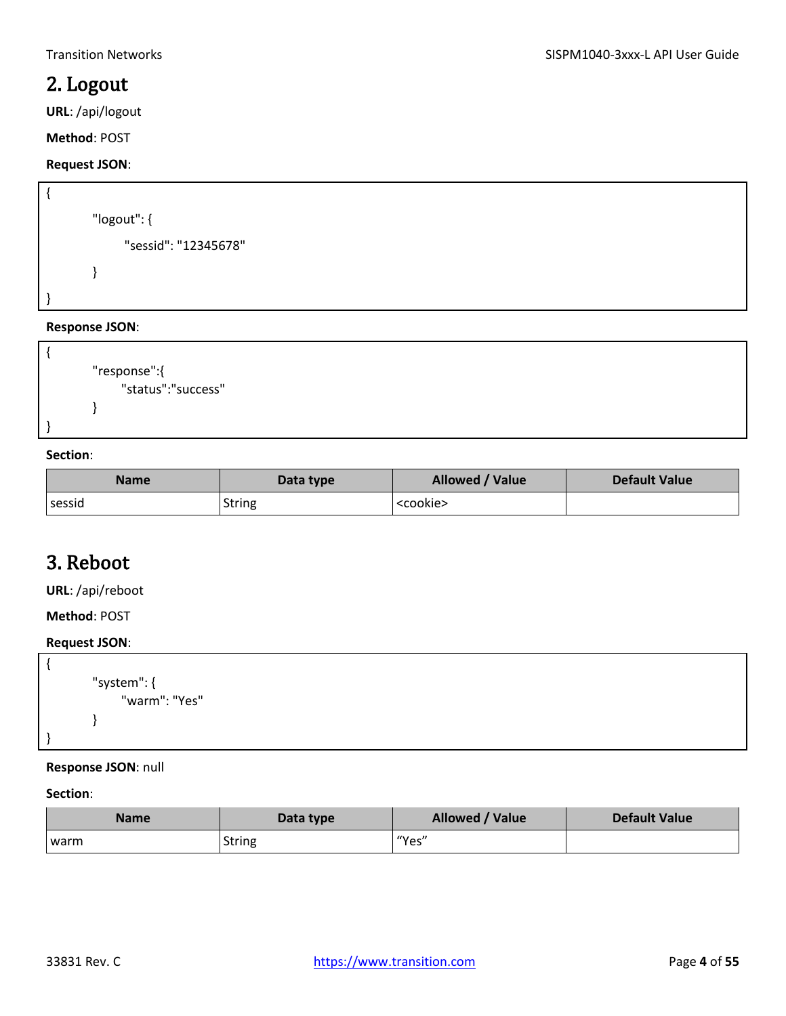### <span id="page-3-0"></span>2. Logout

**URL**: /api/logout

**Method**: POST

### **Request JSON**:

```
{
        "logout": {
               "sessid": "12345678"
        }
}
```
#### **Response JSON**:

```
{
        "response":{
              "status":"success"
        }
}
```
#### **Section**:

| <b>Name</b> | Data type     | Allowed / Value   | Default Value |
|-------------|---------------|-------------------|---------------|
| sessid      | <b>String</b> | <cookie></cookie> |               |

### <span id="page-3-1"></span>3. Reboot

**URL**: /api/reboot

**Method**: POST

#### **Request JSON**:

```
{
        "system": {
              "warm": "Yes"
        }
}
```
#### **Response JSON**: null

| <b>Name</b> | Data type     | Allowed / Value | Default Value |
|-------------|---------------|-----------------|---------------|
| I warm      | <b>String</b> | I "Yes"         |               |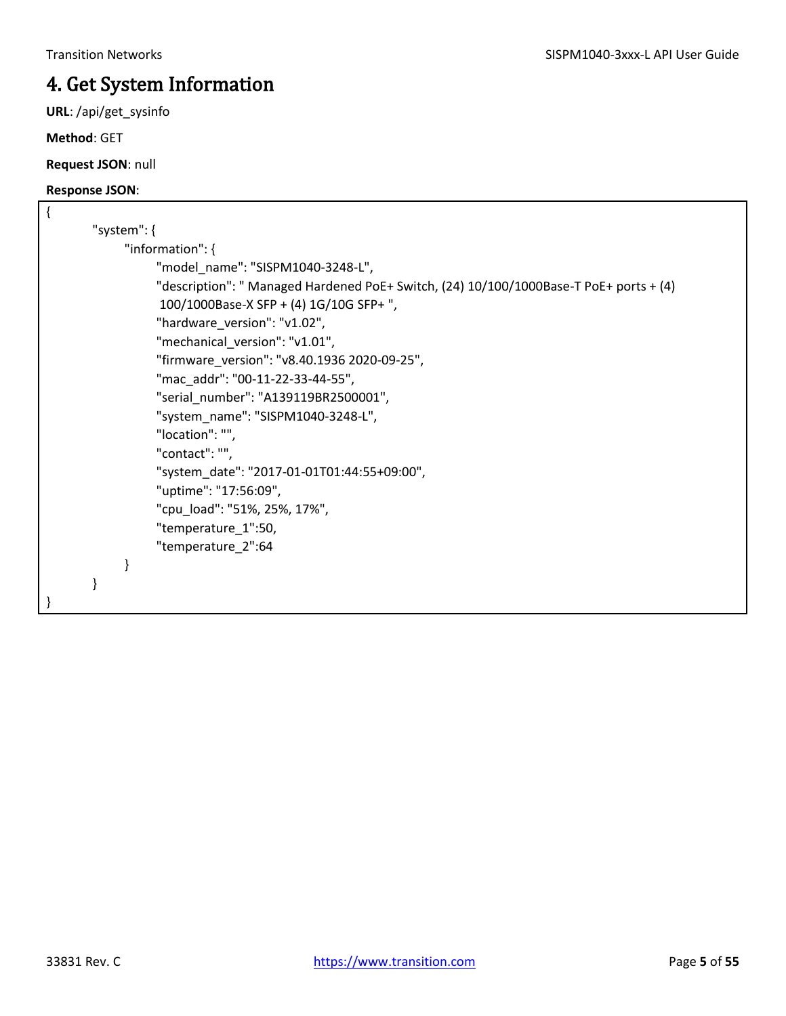## <span id="page-4-0"></span>4. Get System Information

**URL**: /api/get\_sysinfo

**Method**: GET

**Request JSON**: null

| { |                                                                                        |
|---|----------------------------------------------------------------------------------------|
|   | "system": $\{$                                                                         |
|   | "information": {                                                                       |
|   | "model_name": "SISPM1040-3248-L",                                                      |
|   | "description": " Managed Hardened PoE+ Switch, (24) 10/100/1000Base-T PoE+ ports + (4) |
|   | 100/1000Base-X SFP + (4) 1G/10G SFP+",                                                 |
|   | "hardware_version": "v1.02",                                                           |
|   | "mechanical_version": "v1.01",                                                         |
|   | "firmware_version": "v8.40.1936 2020-09-25",                                           |
|   | "mac addr": "00-11-22-33-44-55",                                                       |
|   | "serial_number": "A139119BR2500001",                                                   |
|   | "system name": "SISPM1040-3248-L",                                                     |
|   | "location": "",                                                                        |
|   | "contact": "",                                                                         |
|   | "system_date": "2017-01-01T01:44:55+09:00",                                            |
|   | "uptime": "17:56:09",                                                                  |
|   | "cpu_load": "51%, 25%, 17%",                                                           |
|   | "temperature_1":50,                                                                    |
|   | "temperature_2":64                                                                     |
|   |                                                                                        |
|   |                                                                                        |
|   |                                                                                        |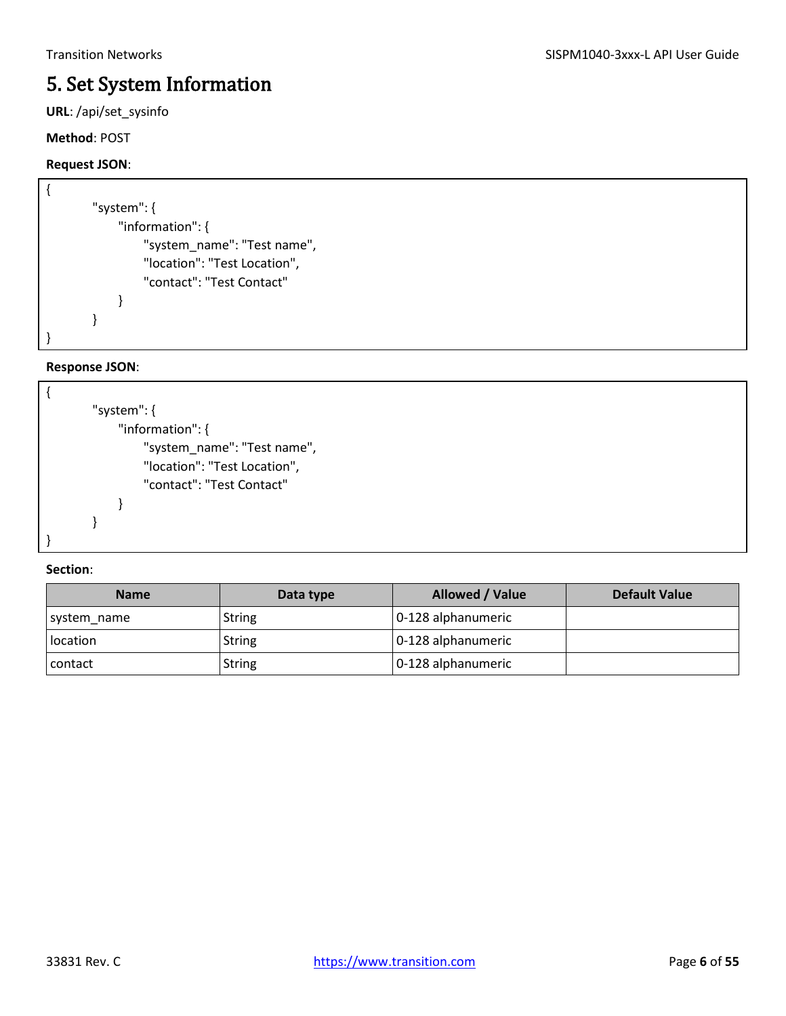### <span id="page-5-0"></span>5. Set System Information

**URL**: /api/set\_sysinfo

#### **Method**: POST

### **Request JSON**:

| "system": {                  |
|------------------------------|
| "information": {             |
| "system_name": "Test name",  |
| "location": "Test Location", |
| "contact": "Test Contact"    |
|                              |
|                              |
|                              |

#### **Response JSON**:

| "system": {                  |
|------------------------------|
| "information": {             |
| "system_name": "Test name",  |
| "location": "Test Location", |
| "contact": "Test Contact"    |
|                              |
|                              |
|                              |

| <b>Name</b> | Data type     | Allowed / Value    | <b>Default Value</b> |
|-------------|---------------|--------------------|----------------------|
| system_name | String        | 0-128 alphanumeric |                      |
| location    | String        | 0-128 alphanumeric |                      |
| contact     | <b>String</b> | 0-128 alphanumeric |                      |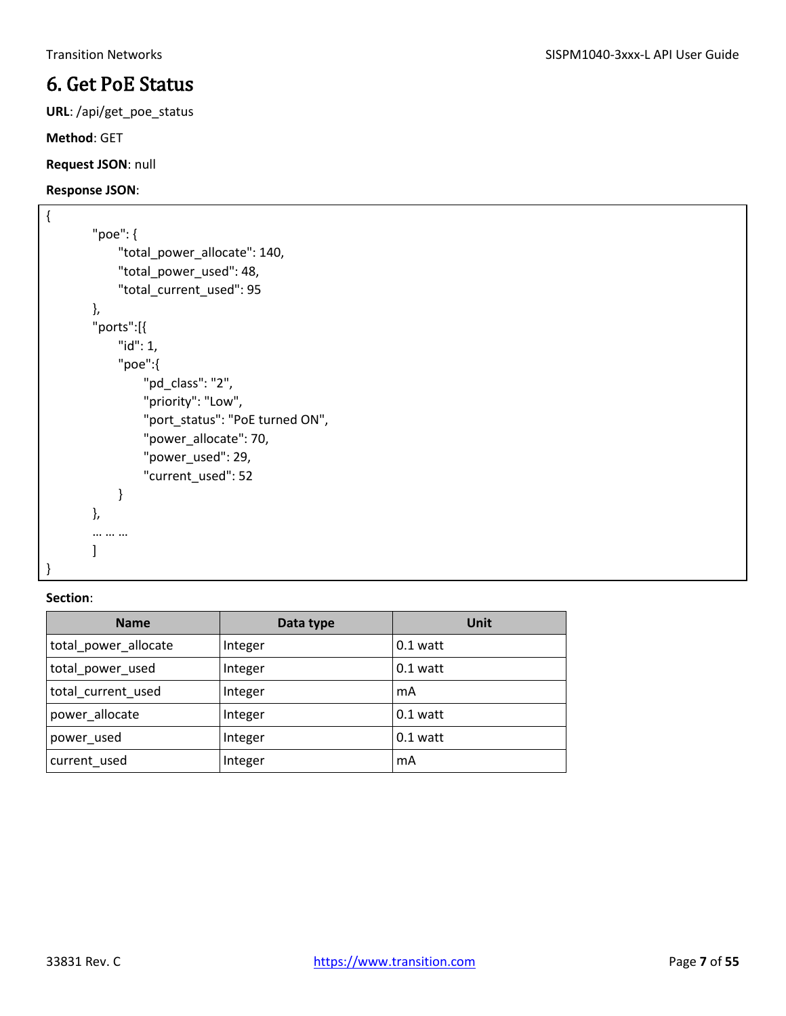### <span id="page-6-0"></span>6. Get PoE Status

**URL**: /api/get\_poe\_status

**Method**: GET

**Request JSON**: null

#### **Response JSON**:

```
{
        "poe": {
              "total_power_allocate": 140,
              "total_power_used": 48,
              "total_current_used": 95
        },
        "ports":[{
              "id": 1,
              "poe":{
                  "pd_class": "2",
                  "priority": "Low",
                  "port_status": "PoE turned ON",
                   "power_allocate": 70,
                   "power_used": 29,
                   "current_used": 52
              }
        },
        … … …
        \mathbf{I}
```
#### **Section**:

}

| <b>Name</b>          | Data type | Unit       |
|----------------------|-----------|------------|
| total_power_allocate | Integer   | $0.1$ watt |
| total power used     | Integer   | $0.1$ watt |
| total current used   | Integer   | mA         |
| power_allocate       | Integer   | $0.1$ watt |
| power_used           | Integer   | $0.1$ watt |
| current used         | Integer   | mA         |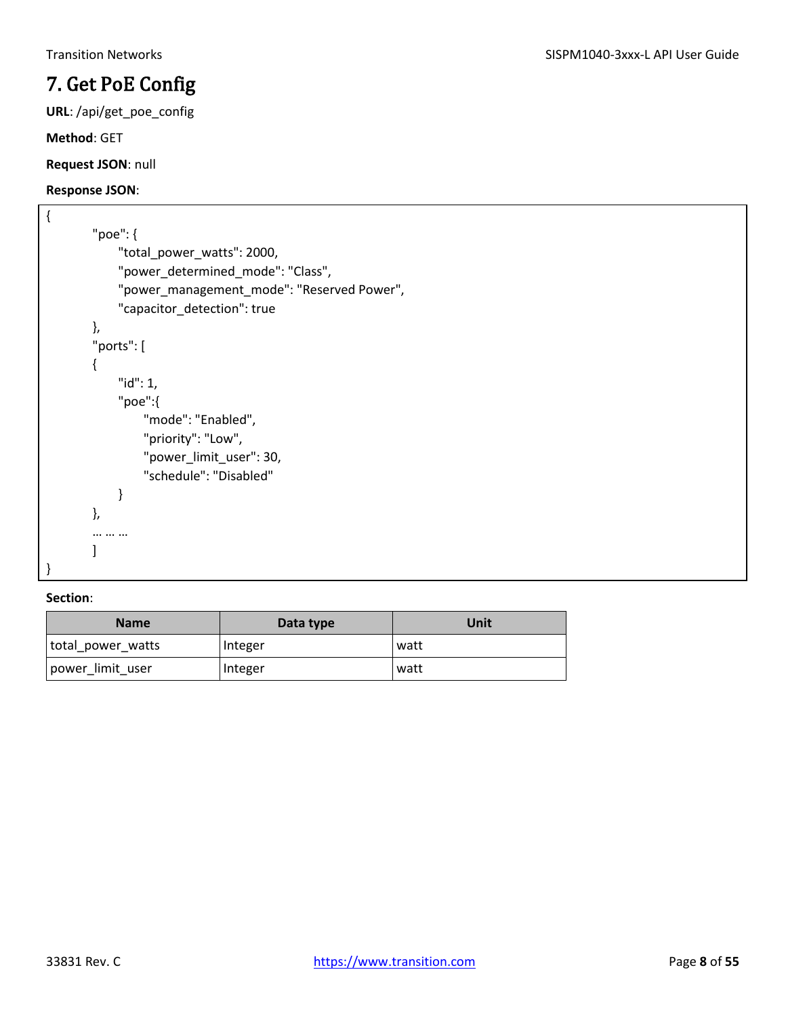## <span id="page-7-0"></span>7. Get PoE Config

**URL**: /api/get\_poe\_config

**Method**: GET

**Request JSON**: null

#### **Response JSON**:

```
{
        "poe": {
              "total_power_watts": 2000,
             "power_determined_mode": "Class",
             "power_management_mode": "Reserved Power",
              "capacitor_detection": true
        },
        "ports": [
        {
              "id": 1,
              "poe":{
                  "mode": "Enabled",
                  "priority": "Low",
                  "power_limit_user": 30,
                  "schedule": "Disabled"
             }
        },
        … … …
        \mathbf{I}}
```

| <b>Name</b>       | Data type | Unit |
|-------------------|-----------|------|
| total_power_watts | Integer   | watt |
| power limit user  | Integer   | watt |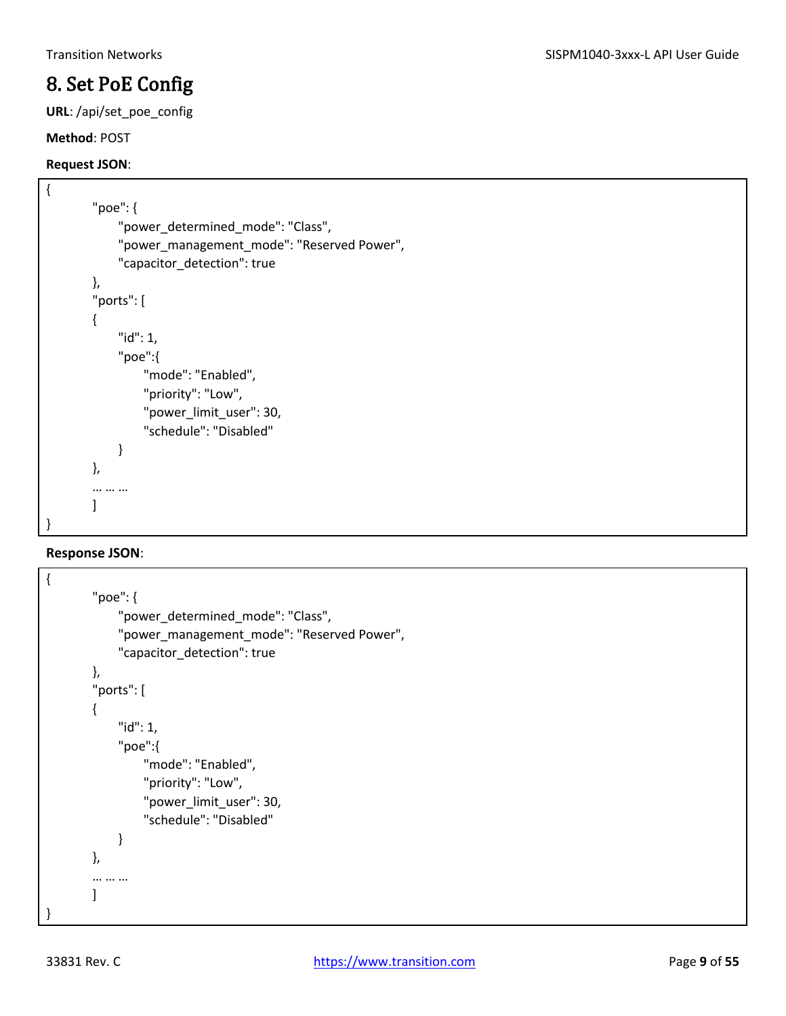### <span id="page-8-0"></span>8. Set PoE Config

**URL**: /api/set\_poe\_config

#### **Method**: POST

#### **Request JSON**:

```
{
        "poe": {
              "power_determined_mode": "Class",
              "power_management_mode": "Reserved Power",
              "capacitor_detection": true
        },
        "ports": [
        {
              "id": 1,
              "poe":{
                  "mode": "Enabled",
                  "priority": "Low",
                 "power_limit_user": 30,
                  "schedule": "Disabled"
              }
        },
        … … …
        \mathbf{I}}
```

```
{
        "poe": {
             "power_determined_mode": "Class",
             "power_management_mode": "Reserved Power",
             "capacitor_detection": true
        },
        "ports": [
        {
             "id": 1,
             "poe":{
                  "mode": "Enabled",
                  "priority": "Low",
                  "power_limit_user": 30,
                  "schedule": "Disabled"
             }
        },
        … … …
        ]
}
```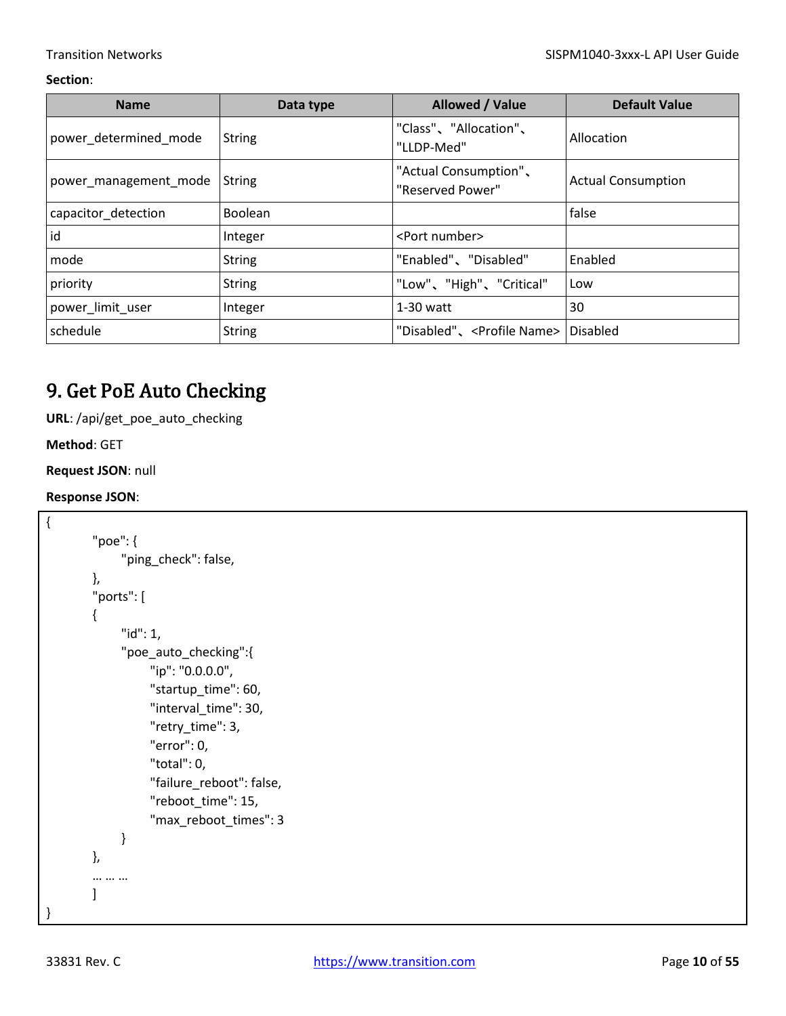| <b>Name</b>           | Data type      | Allowed / Value                           | <b>Default Value</b>      |
|-----------------------|----------------|-------------------------------------------|---------------------------|
| power_determined_mode | <b>String</b>  | "Class"、"Allocation"、<br>"LLDP-Med"       | Allocation                |
| power_management_mode | <b>String</b>  | "Actual Consumption",<br>"Reserved Power" | <b>Actual Consumption</b> |
| capacitor detection   | <b>Boolean</b> |                                           | false                     |
| id                    | Integer        | <port number=""></port>                   |                           |
| mode                  | <b>String</b>  | "Enabled"、"Disabled"                      | Enabled                   |
| priority              | <b>String</b>  | "Low"、"High"、"Critical"                   | Low                       |
| power limit user      | Integer        | $1-30$ watt                               | 30                        |
| schedule              | <b>String</b>  | "Disabled"、 <profile name=""></profile>   | Disabled                  |

### <span id="page-9-0"></span>9. Get PoE Auto Checking

**URL**: /api/get\_poe\_auto\_checking

**Method**: GET

**Request JSON**: null

```
{
         "poe": {
               "ping_check": false,
        },
         "ports": [
        {
               "id": 1,
               "poe_auto_checking":{
                    "ip": "0.0.0.0",
                    "startup_time": 60,
                    "interval_time": 30,
                    "retry_time": 3,
                    "error": 0,
                    "total": 0,
                    "failure_reboot": false,
                   "reboot_time": 15,
                    "max_reboot_times": 3
               }
        },
        … … …
        \mathbf{I}}
```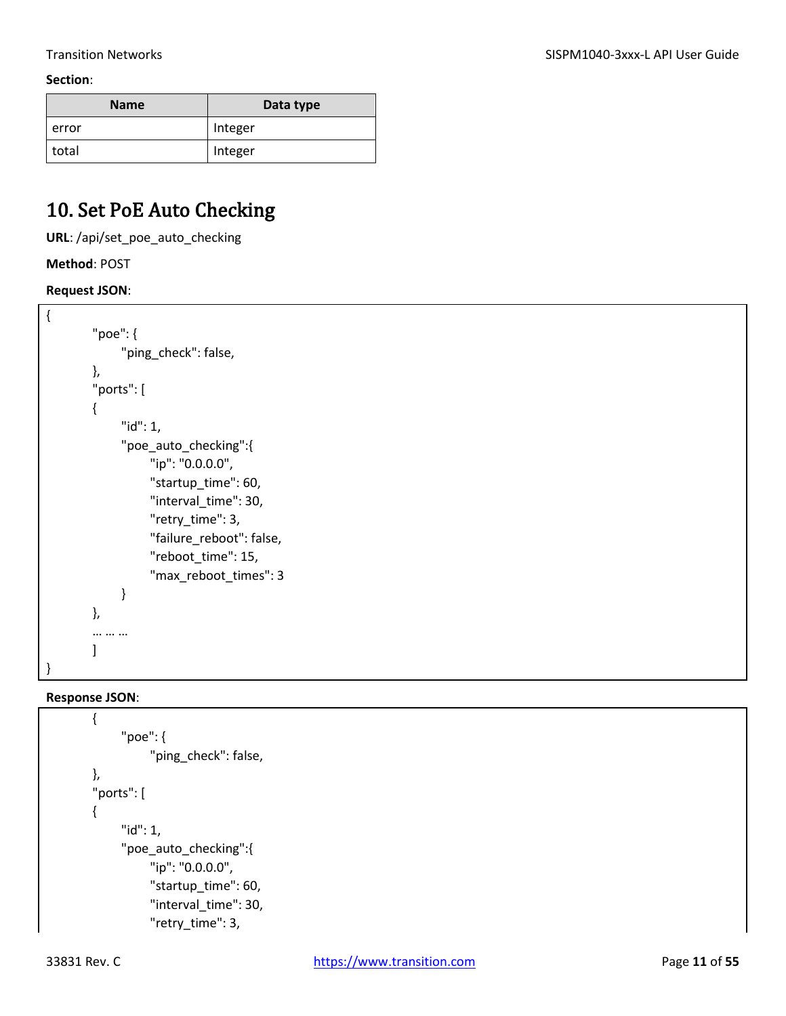| <b>Name</b> | Data type |
|-------------|-----------|
| error       | Integer   |
| total       | Integer   |

### <span id="page-10-0"></span>10. Set PoE Auto Checking

**URL**: /api/set\_poe\_auto\_checking

**Method**: POST

**Request JSON**:

```
{
        "poe": {
               "ping_check": false,
        },
        "ports": [
        {
               "id": 1,
               "poe_auto_checking":{
                    "ip": "0.0.0.0",
                   "startup_time": 60,
                    "interval_time": 30,
                    "retry_time": 3,
                    "failure_reboot": false,
                    "reboot_time": 15,
                    "max_reboot_times": 3
              }
        },
        … … …
        ]
}
```

```
{
      "poe": {
           "ping_check": false,
},
"ports": [
{
      "id": 1,
      "poe_auto_checking":{
           "ip": "0.0.0.0",
          "startup_time": 60,
           "interval_time": 30,
           "retry_time": 3,
```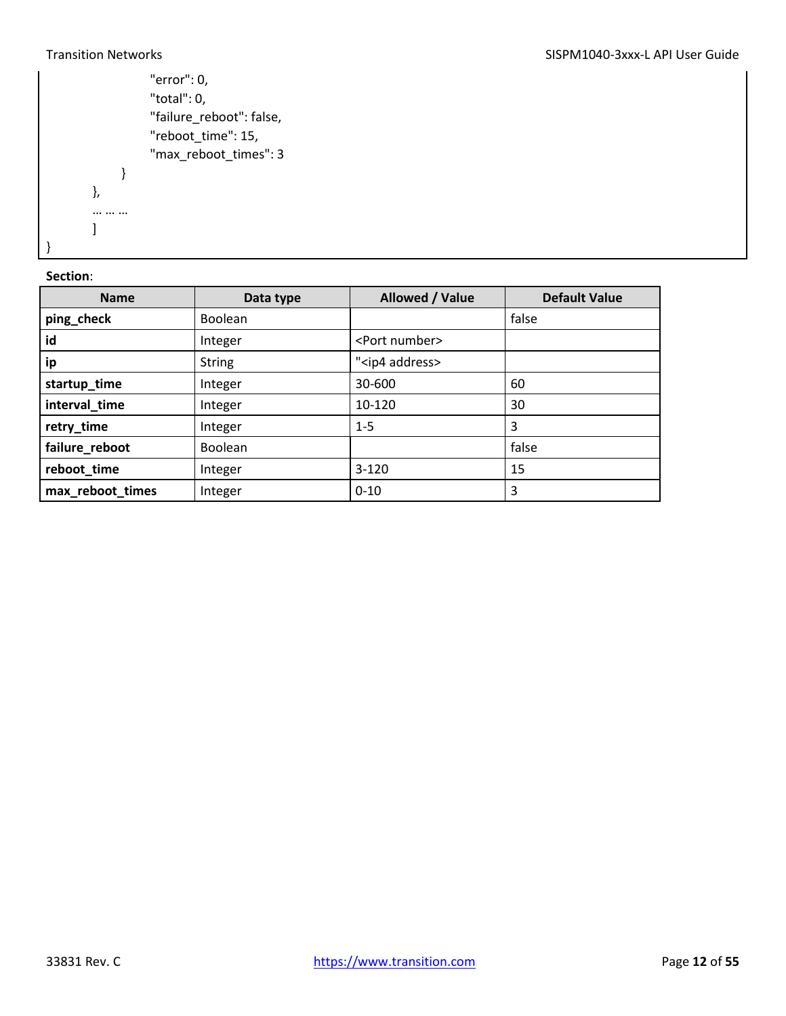```
 "error": 0,
                   "total": 0,
                   "failure_reboot": false,
                   "reboot_time": 15,
                   "max_reboot_times": 3
             }
        },
        … … …
        ]
}
```

| <b>Name</b>      | Data type      | Allowed / Value          | <b>Default Value</b> |
|------------------|----------------|--------------------------|----------------------|
| ping_check       | <b>Boolean</b> |                          | false                |
| id               | Integer        | <port number=""></port>  |                      |
| ip               | <b>String</b>  | " <ip4 address=""></ip4> |                      |
| startup_time     | Integer        | 30-600                   | 60                   |
| interval_time    | Integer        | 10-120                   | 30                   |
| retry_time       | Integer        | $1 - 5$                  | 3                    |
| failure_reboot   | <b>Boolean</b> |                          | false                |
| reboot_time      | Integer        | $3-120$                  | 15                   |
| max_reboot_times | Integer        | $0 - 10$                 | 3                    |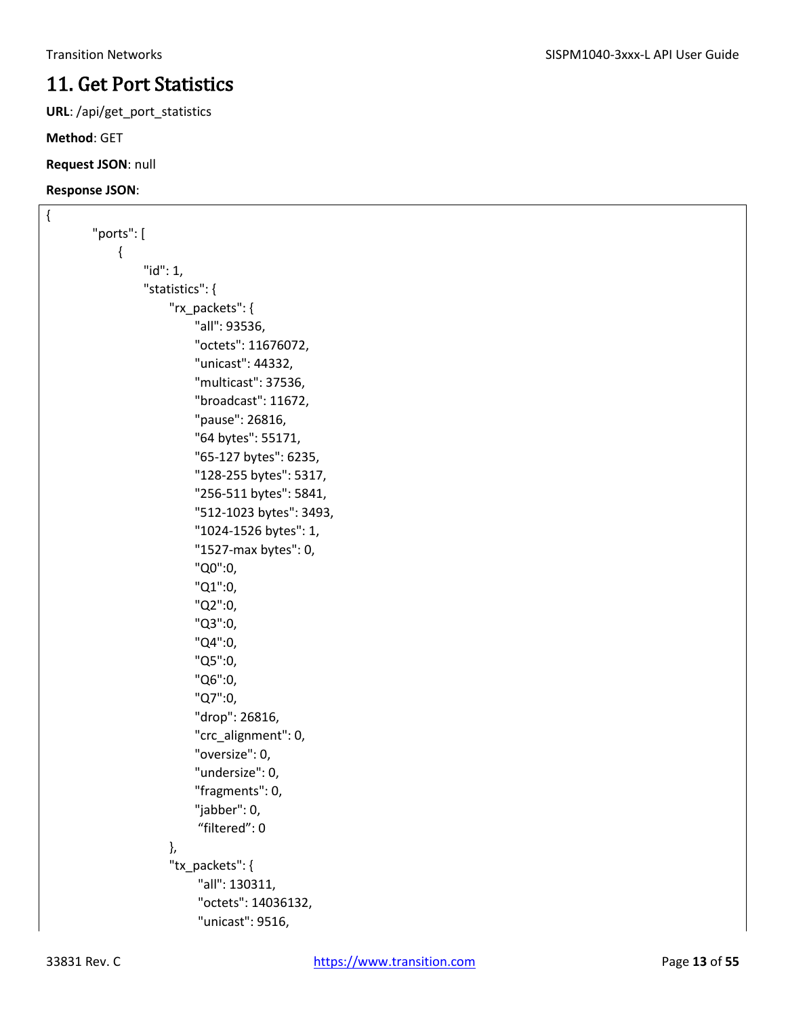### <span id="page-12-0"></span>11. Get Port Statistics

**URL**: /api/get\_port\_statistics

**Method**: GET

**Request JSON**: null

```
{
        "ports": [
              {
                   "id": 1,
                   "statistics": {
                       "rx_packets": {
                            "all": 93536,
                            "octets": 11676072,
                            "unicast": 44332,
                            "multicast": 37536,
                            "broadcast": 11672,
                            "pause": 26816,
                            "64 bytes": 55171,
                            "65-127 bytes": 6235,
                            "128-255 bytes": 5317,
                            "256-511 bytes": 5841,
                            "512-1023 bytes": 3493,
                            "1024-1526 bytes": 1,
                            "1527-max bytes": 0,
                            "Q0":0,
                            "Q1":0,
                            "Q2":0,
                            "Q3":0,
                            "Q4":0,
                            "Q5":0, 
                            "Q6":0,
                            "Q7":0,
                            "drop": 26816,
                            "crc_alignment": 0,
                            "oversize": 0,
                            "undersize": 0,
                            "fragments": 0,
                            "jabber": 0,
                             "filtered": 0
                       },
                        "tx_packets": {
                             "all": 130311,
                             "octets": 14036132,
                             "unicast": 9516,
```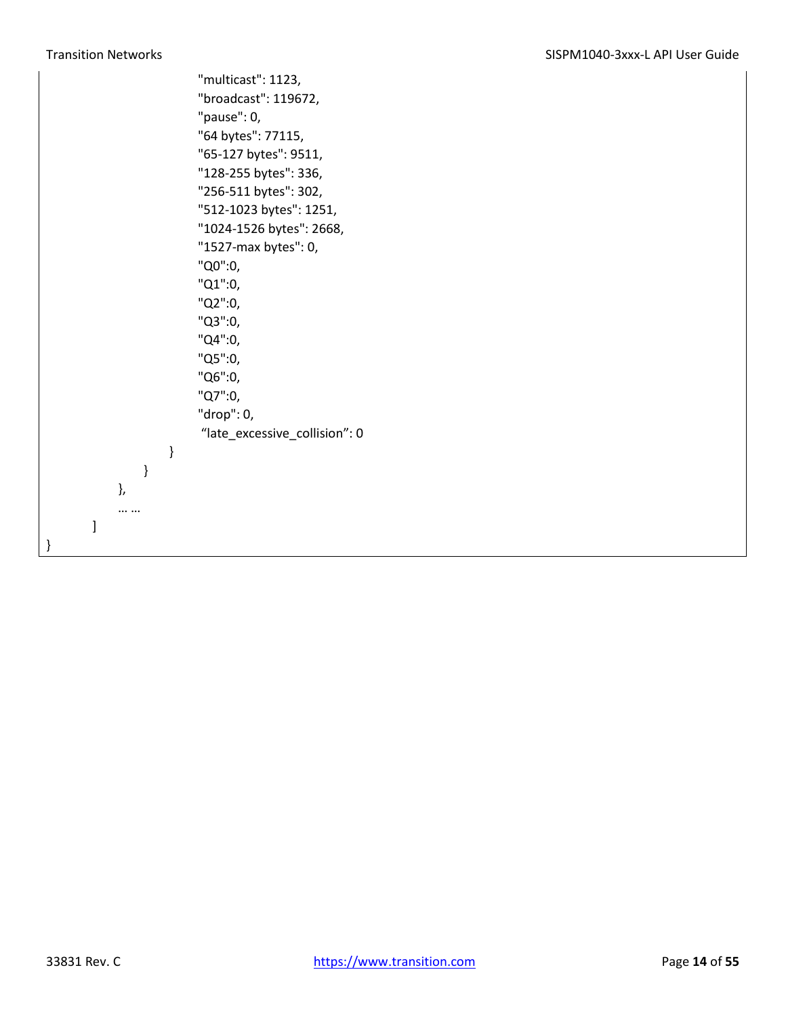"multicast": 1123, "broadcast": 119672, "pause": 0, "64 bytes": 77115, "65-127 bytes": 9511, "128-255 bytes": 336, "256-511 bytes": 302, "512-1023 bytes": 1251, "1024-1526 bytes": 2668, "1527-max bytes": 0, "Q0":0, "Q1":0, "Q2":0, "Q3":0, "Q4":0, "Q5":0, "Q6":0, "Q7":0, "drop": 0, "late\_excessive\_collision": 0 } } }, … … ]

}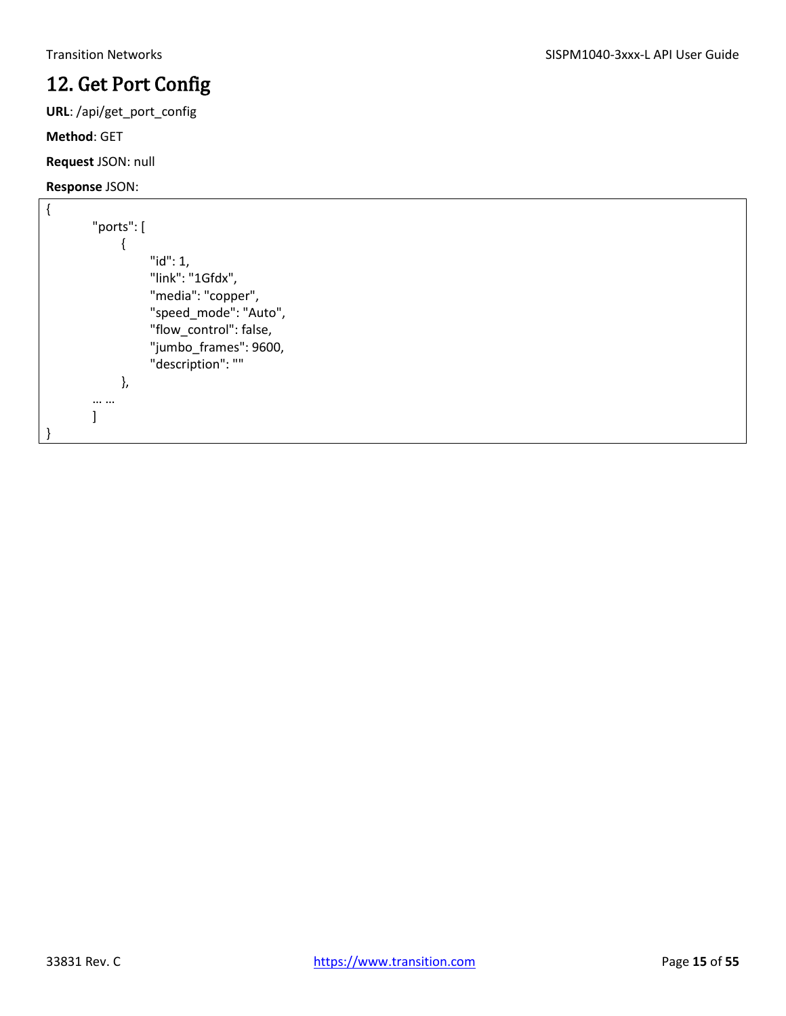### <span id="page-14-0"></span>12. Get Port Config

**URL**: /api/get\_port\_config

#### **Method**: GET

**Request** JSON: null

```
{
        "ports": [
              {
                   "id": 1,
                   "link": "1Gfdx",
                   "media": "copper",
                   "speed_mode": "Auto",
                   "flow_control": false,
                   "jumbo_frames": 9600,
                   "description": ""
              },
        … …
        ]
}
```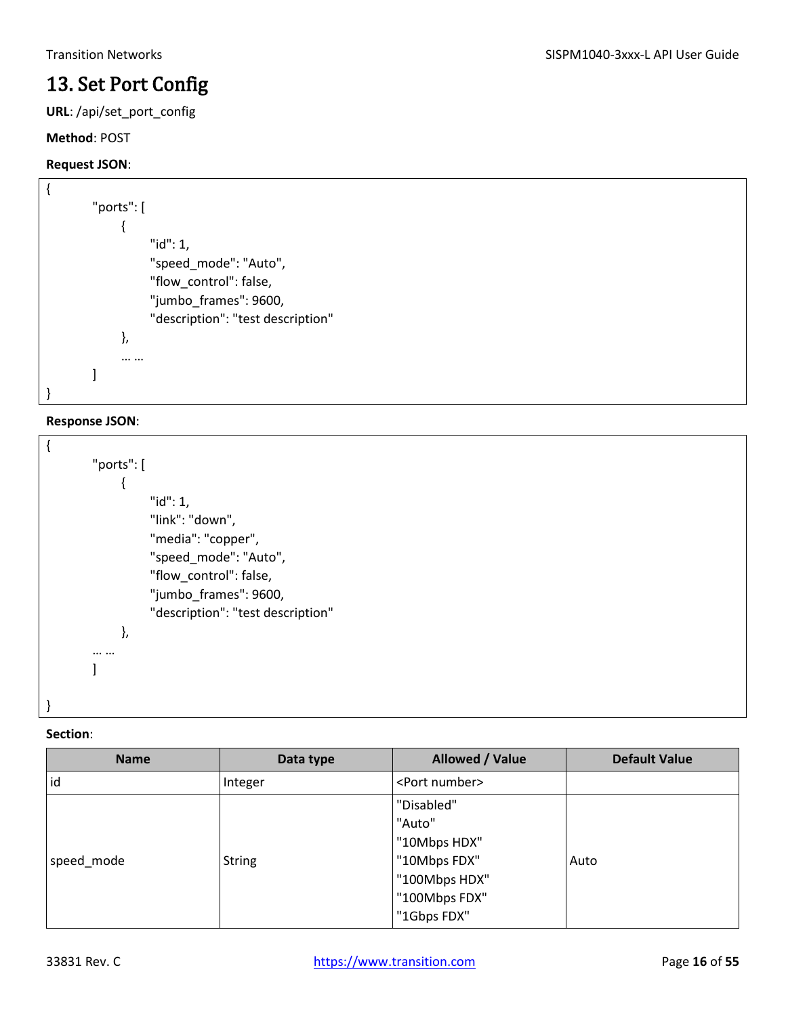### <span id="page-15-0"></span>13. Set Port Config

**URL**: /api/set\_port\_config

#### **Method**: POST

#### **Request JSON**:

```
{
        "ports": [
              {
                    "id": 1,
                    "speed_mode": "Auto",
                    "flow_control": false,
                    "jumbo_frames": 9600,
                    "description": "test description"
              },
              … …
        ]
}
```
#### **Response JSON**:

```
{
        "ports": [
               {
                     "id": 1,
                    "link": "down",
                    "media": "copper",
                    "speed_mode": "Auto",
                    "flow_control": false,
                    "jumbo_frames": 9600,
                    "description": "test description"
               },
        … …
        \mathbf{I}}
```

| <b>Name</b> | Data type     | Allowed / Value         | <b>Default Value</b> |
|-------------|---------------|-------------------------|----------------------|
| id          | Integer       | <port number=""></port> |                      |
|             |               | "Disabled"              |                      |
|             |               | "Auto"                  |                      |
|             |               | "10Mbps HDX"            |                      |
| speed_mode  | <b>String</b> | "10Mbps FDX"            | Auto                 |
|             |               | "100Mbps HDX"           |                      |
|             |               | "100Mbps FDX"           |                      |
|             |               | "1Gbps FDX"             |                      |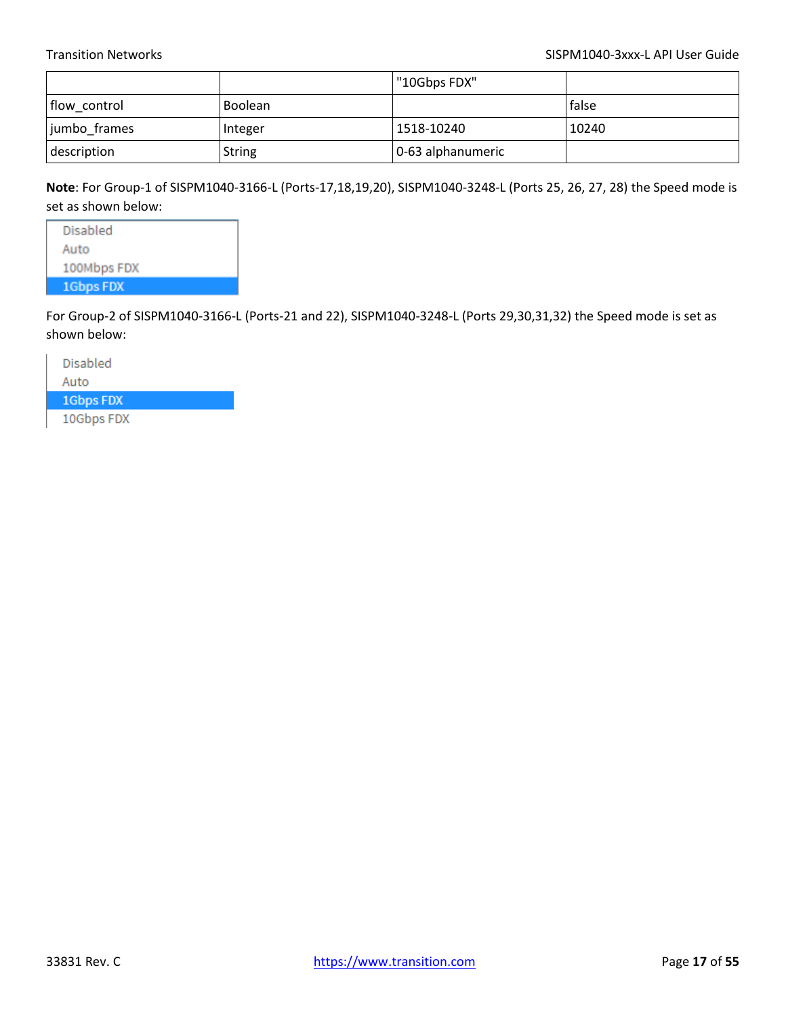|              |                | "10Gbps FDX"      |              |
|--------------|----------------|-------------------|--------------|
| flow control | <b>Boolean</b> |                   | <b>false</b> |
| jumbo frames | Integer        | 1518-10240        | 10240        |
| description  | <b>String</b>  | 0-63 alphanumeric |              |

**Note**: For Group-1 of SISPM1040-3166-L (Ports-17,18,19,20), SISPM1040-3248-L (Ports 25, 26, 27, 28) the Speed mode is set as shown below:

Disabled Auto 100Mbps FDX 1Gbps FDX

For Group-2 of SISPM1040-3166-L (Ports-21 and 22), SISPM1040-3248-L (Ports 29,30,31,32) the Speed mode is set as shown below:

Disabled Auto 1Gbps FDX 10Gbps FDX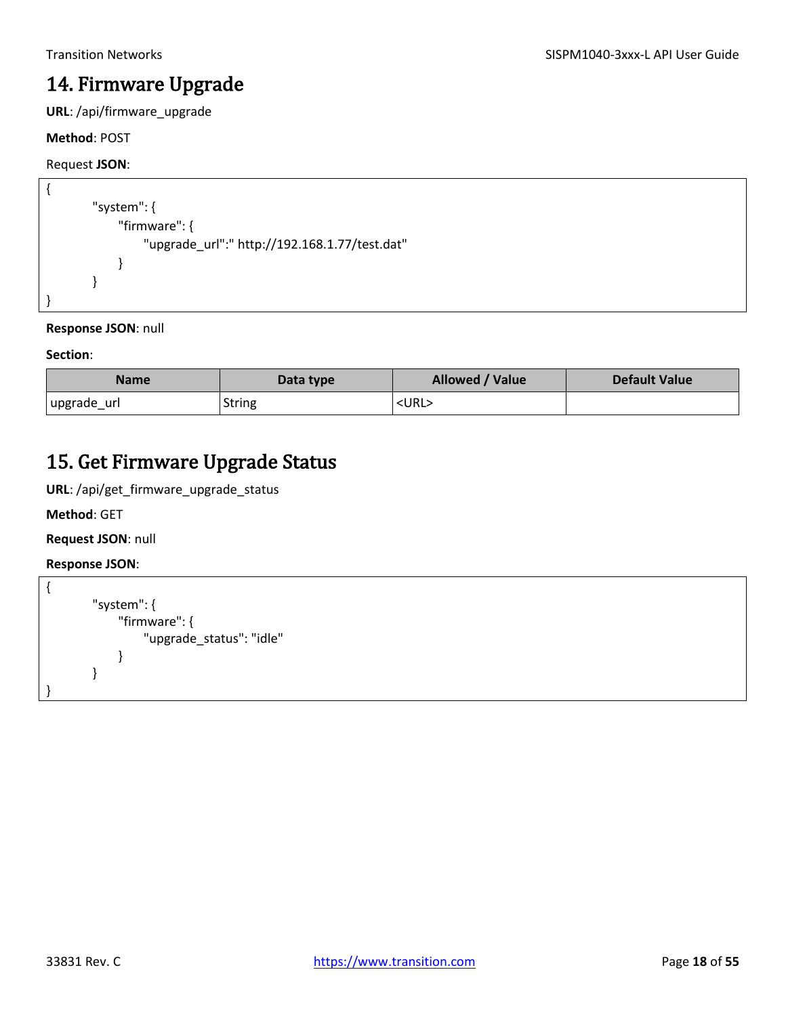### <span id="page-17-0"></span>14. Firmware Upgrade

**URL**: /api/firmware\_upgrade

#### **Method**: POST

#### Request **JSON**:

```
{
        "system": {
              "firmware": {
                  "upgrade_url":" http://192.168.1.77/test.dat"
              }
        }
}
```
#### **Response JSON**: null

#### **Section**:

| <b>Name</b> | Data type     | Allowed / Value | <b>Default Value</b> |
|-------------|---------------|-----------------|----------------------|
| upgrade_url | <b>String</b> | <url></url>     |                      |

### <span id="page-17-1"></span>15. Get Firmware Upgrade Status

**URL**: /api/get\_firmware\_upgrade\_status

**Method**: GET

**Request JSON**: null

```
{
        "system": {
              "firmware": {
                   "upgrade_status": "idle"
              }
        }
}
```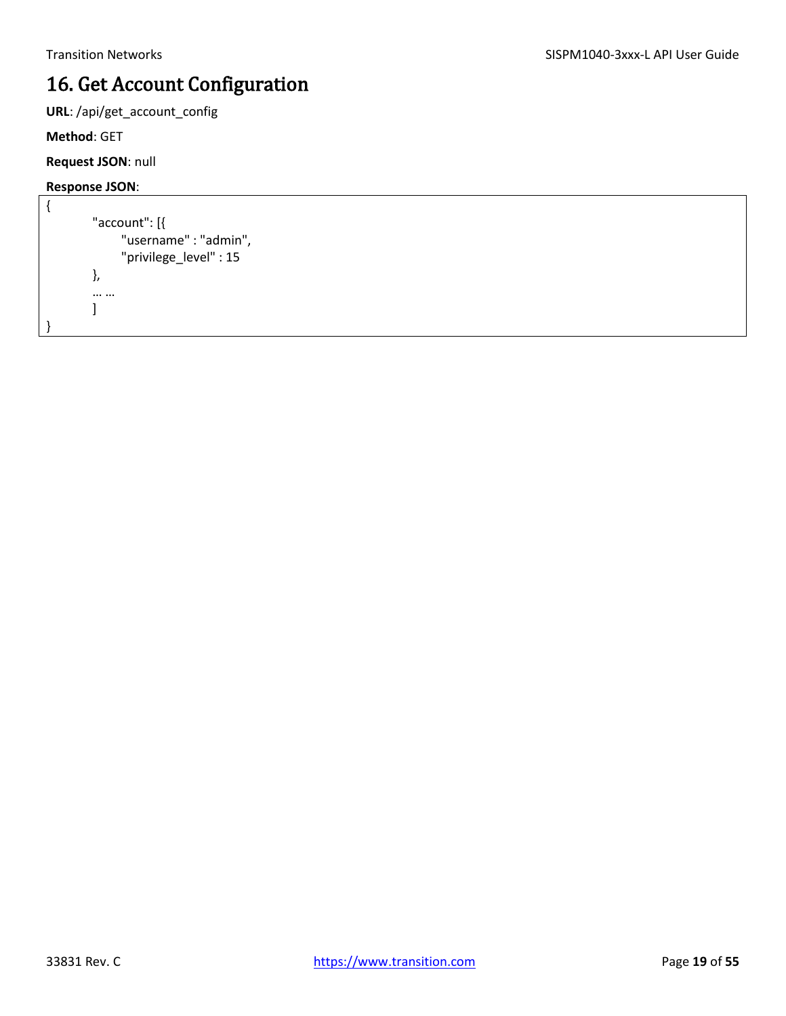## <span id="page-18-0"></span>16. Get Account Configuration

**URL**: /api/get\_account\_config

**Method**: GET

**Request JSON**: null

```
{
         "account": [{
               "username" : "admin",
               "privilege_level" : 15
         },
         … …
         \mathbf{I}}
```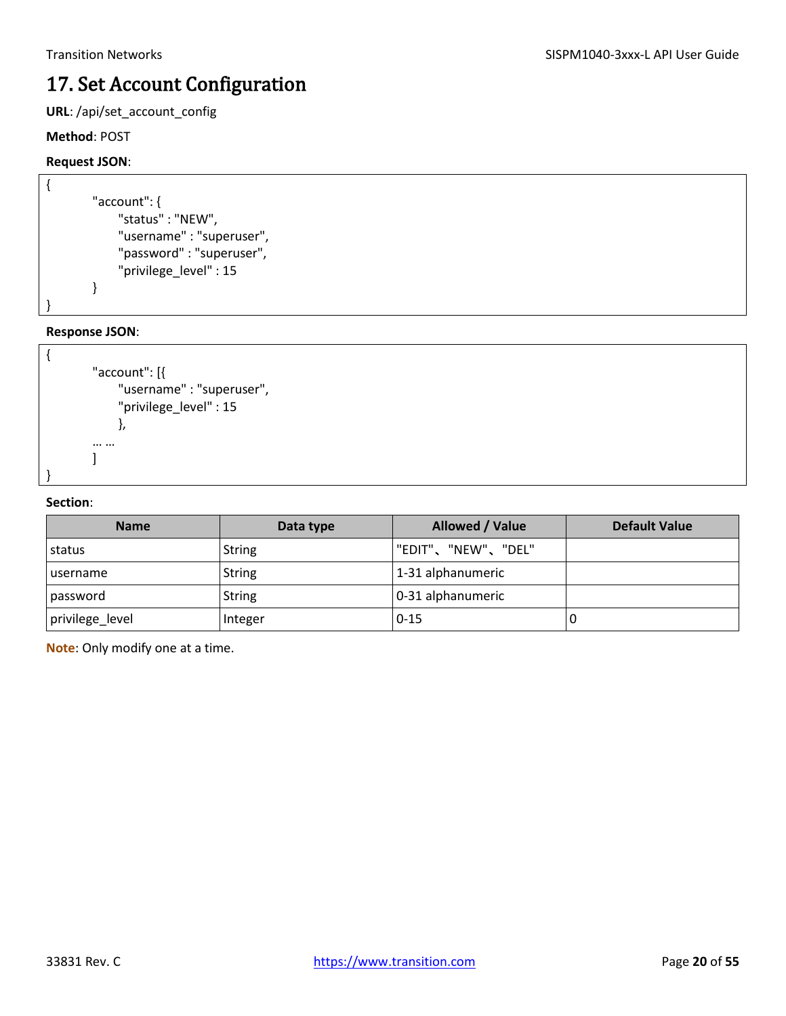## <span id="page-19-0"></span>17. Set Account Configuration

**URL**: /api/set\_account\_config

#### **Method**: POST

#### **Request JSON**:

```
{
        "account": {
              "status" : "NEW",
             "username" : "superuser",
             "password" : "superuser",
             "privilege_level" : 15
        }
```
#### **Response JSON**:

}

```
{
        "account": [{
              "username" : "superuser",
              "privilege_level" : 15
              },
        … …
        ]
}
```
#### **Section**:

| <b>Name</b>      | Data type     | Allowed / Value    | <b>Default Value</b> |
|------------------|---------------|--------------------|----------------------|
| status           | <b>String</b> | "EDIT"、"NEW"、"DEL" |                      |
| <b>Lusername</b> | <b>String</b> | 1-31 alphanumeric  |                      |
| password         | <b>String</b> | 0-31 alphanumeric  |                      |
| privilege_level  | Integer       | $10 - 15$          | U                    |

**Note**: Only modify one at a time.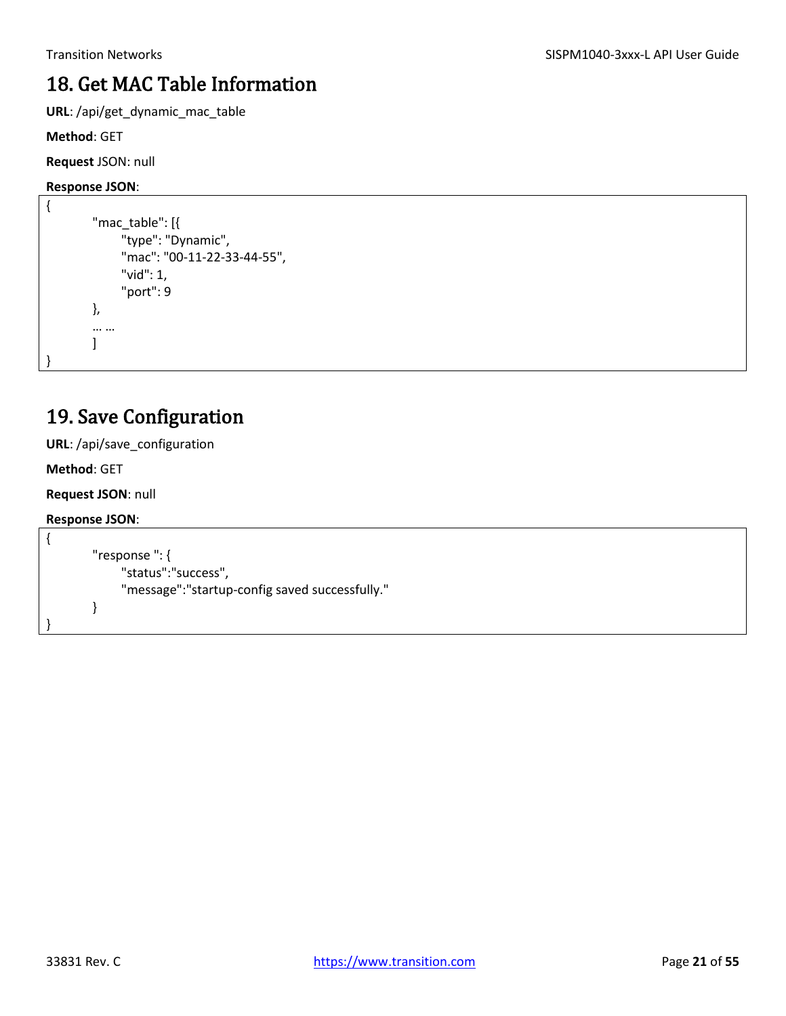### <span id="page-20-0"></span>18. Get MAC Table Information

**URL**: /api/get\_dynamic\_mac\_table

**Method**: GET

**Request** JSON: null

#### **Response JSON**:

```
{
         "mac_table": [{
               "type": "Dynamic",
               "mac": "00-11-22-33-44-55",
               "vid": 1,
               "port": 9
        },
         … …
        \mathbf{I}}
```
### <span id="page-20-1"></span>19. Save Configuration

**URL**: /api/save\_configuration

**Method**: GET

**Request JSON**: null

```
{
        "response ": {
              "status":"success",
              "message":"startup-config saved successfully."
        }
}
```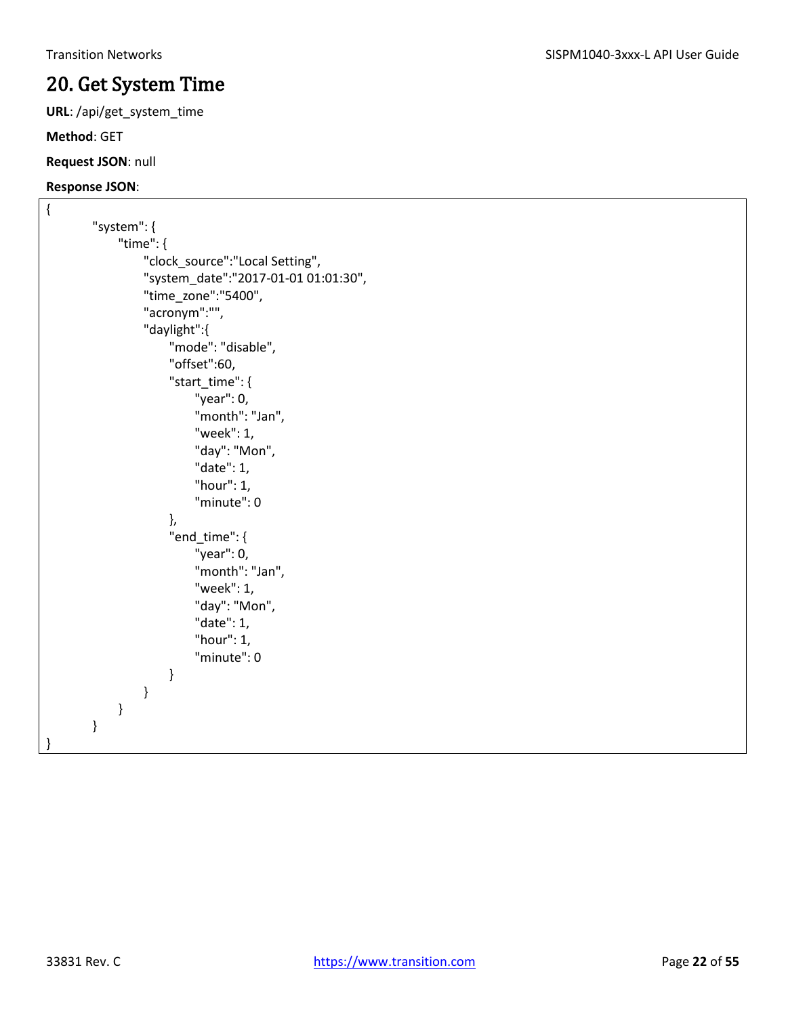### <span id="page-21-0"></span>20. Get System Time

**URL**: /api/get\_system\_time

**Method**: GET

#### **Request JSON**: null

```
{
        "system": {
              "time": {
                  "clock_source":"Local Setting",
                  "system_date":"2017-01-01 01:01:30",
                  "time_zone":"5400",
                  "acronym":"",
                  "daylight":{
                       "mode": "disable",
                       "offset":60,
                       "start_time": {
                           "year": 0,
                           "month": "Jan",
                           "week": 1,
                           "day": "Mon",
                           "date": 1, 
                           "hour": 1,
                           "minute": 0
                       },
                       "end_time": {
                           "year": 0,
                           "month": "Jan",
                           "week": 1,
                           "day": "Mon",
                           "date": 1,
                           "hour": 1,
                           "minute": 0
         }
                  }
             }
        }
}
```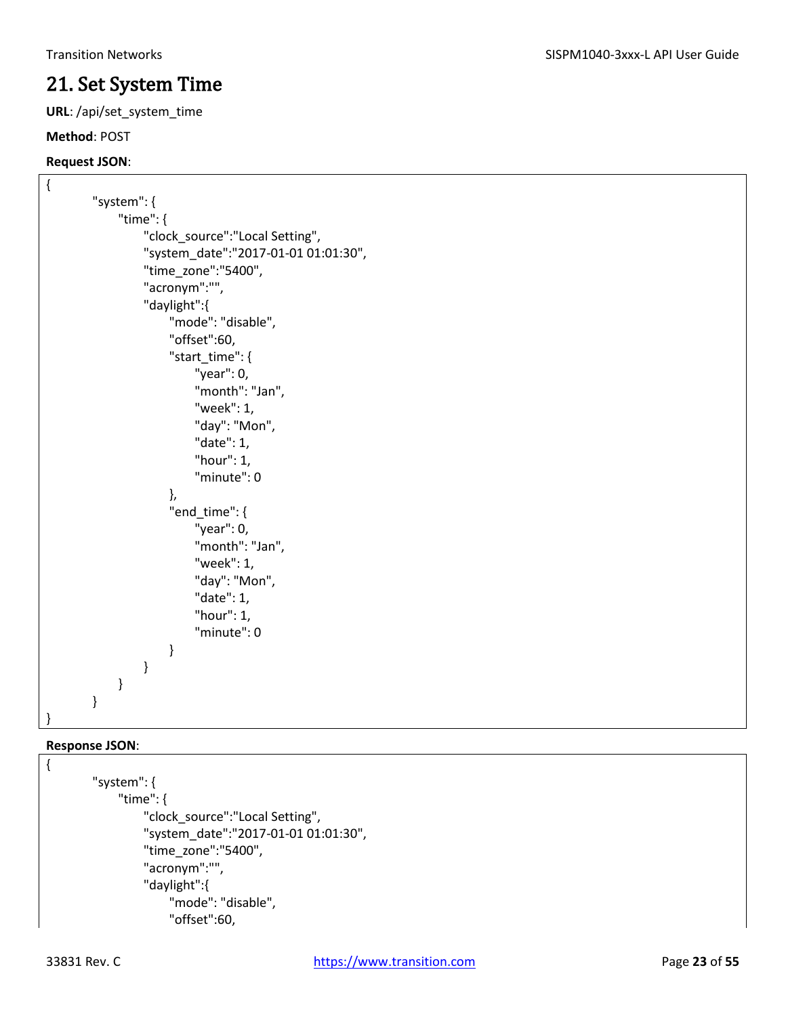### <span id="page-22-0"></span>21. Set System Time

**URL**: /api/set\_system\_time

#### **Method**: POST

#### **Request JSON**:

```
{
        "system": {
              "time": {
                  "clock_source":"Local Setting",
                   "system_date":"2017-01-01 01:01:30",
                   "time_zone":"5400",
                   "acronym":"",
                   "daylight":{
                       "mode": "disable",
                       "offset":60,
                       "start_time": {
                            "year": 0,
                            "month": "Jan",
                            "week": 1,
                            "day": "Mon",
                            "date": 1, 
                            "hour": 1,
                            "minute": 0
                       },
                       "end_time": {
                            "year": 0,
                            "month": "Jan",
                            "week": 1,
                            "day": "Mon",
                            "date": 1,
                            "hour": 1,
                            "minute": 0
         }
                  }
              }
        }
}
```

```
{
        "system": {
              "time": {
                  "clock_source":"Local Setting",
                  "system_date":"2017-01-01 01:01:30",
                  "time_zone":"5400",
                  "acronym":"",
                  "daylight":{
                       "mode": "disable",
                       "offset":60,
```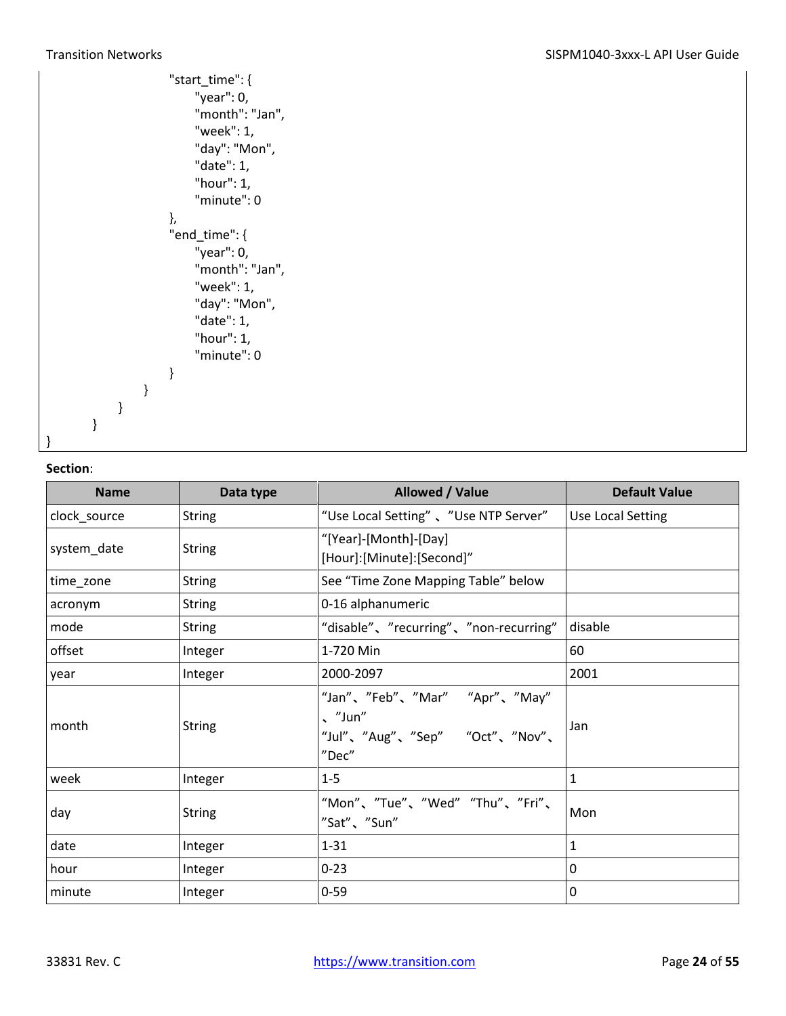|   |   |   | "start_time": { |
|---|---|---|-----------------|
|   |   |   | "year": 0,      |
|   |   |   | "month": "Jan", |
|   |   |   | "week": 1,      |
|   |   |   | "day": "Mon",   |
|   |   |   | "date": 1,      |
|   |   |   | "hour": 1,      |
|   |   |   | "minute": 0     |
|   |   |   | },              |
|   |   |   | "end_time": {   |
|   |   |   |                 |
|   |   |   | "year": 0,      |
|   |   |   | "month": "Jan", |
|   |   |   | "week": 1,      |
|   |   |   | "day": "Mon",   |
|   |   |   | "date": 1,      |
|   |   |   | "hour": 1,      |
|   |   |   | "minute": 0     |
|   |   |   | }               |
|   |   | ł |                 |
|   | ł |   |                 |
| } |   |   |                 |
|   |   |   |                 |
|   |   |   |                 |

| <b>Name</b>  | Data type     | Allowed / Value                                                                            | <b>Default Value</b> |
|--------------|---------------|--------------------------------------------------------------------------------------------|----------------------|
| clock_source | <b>String</b> | "Use Local Setting", "Use NTP Server"                                                      | Use Local Setting    |
| system_date  | <b>String</b> | "[Year]-[Month]-[Day]<br>[Hour]:[Minute]:[Second]"                                         |                      |
| time_zone    | <b>String</b> | See "Time Zone Mapping Table" below                                                        |                      |
| acronym      | <b>String</b> | 0-16 alphanumeric                                                                          |                      |
| mode         | <b>String</b> | "disable"、"recurring"、"non-recurring"                                                      | disable              |
| offset       | Integer       | 1-720 Min                                                                                  | 60                   |
| year         | Integer       | 2000-2097                                                                                  | 2001                 |
| month        | <b>String</b> | "Jan"、"Feb"、"Mar" "Apr"、"May"<br>$\sqrt{$ "Jun"<br>"Jul"、"Aug"、"Sep" "Oct"、"Nov"、<br>"Dec" | Jan                  |
| week         | Integer       | $1 - 5$                                                                                    | $\mathbf{1}$         |
| day          | <b>String</b> | "Mon"、"Tue"、"Wed" "Thu"、"Fri"、<br>"Sat"、"Sun"                                              | Mon                  |
| date         | Integer       | $1 - 31$                                                                                   | $\mathbf{1}$         |
| hour         | Integer       | $0 - 23$                                                                                   | $\mathbf{0}$         |
| minute       | Integer       | $0 - 59$                                                                                   | $\mathbf 0$          |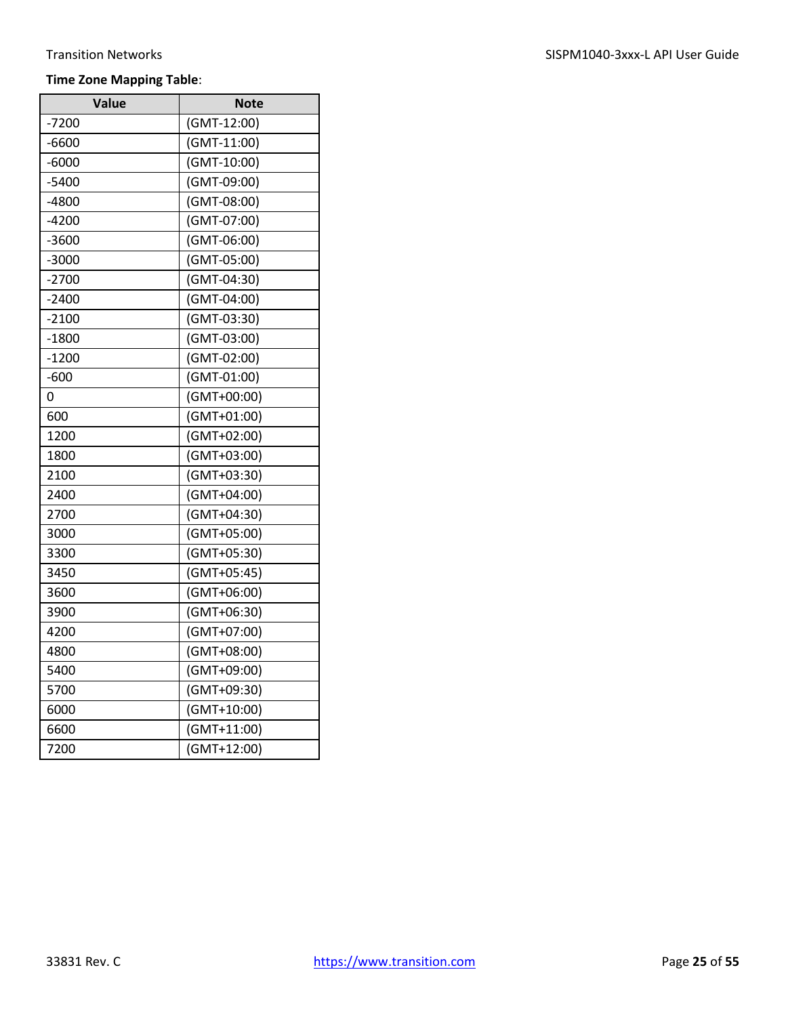### **Time Zone Mapping Table**:

| Value   | <b>Note</b> |
|---------|-------------|
| -7200   | (GMT-12:00) |
| -6600   | (GMT-11:00) |
| $-6000$ | (GMT-10:00) |
| $-5400$ | (GMT-09:00) |
| -4800   | (GMT-08:00) |
| $-4200$ | (GMT-07:00) |
| $-3600$ | (GMT-06:00) |
| $-3000$ | (GMT-05:00) |
| $-2700$ | (GMT-04:30) |
| $-2400$ | (GMT-04:00) |
| $-2100$ | (GMT-03:30) |
| $-1800$ | (GMT-03:00) |
| $-1200$ | (GMT-02:00) |
| $-600$  | (GMT-01:00) |
| 0       | (GMT+00:00) |
| 600     | (GMT+01:00) |
| 1200    | (GMT+02:00) |
| 1800    | (GMT+03:00) |
| 2100    | (GMT+03:30) |
| 2400    | (GMT+04:00) |
| 2700    | (GMT+04:30) |
| 3000    | (GMT+05:00) |
| 3300    | (GMT+05:30) |
| 3450    | (GMT+05:45) |
| 3600    | (GMT+06:00) |
| 3900    | (GMT+06:30) |
| 4200    | (GMT+07:00) |
| 4800    | (GMT+08:00) |
| 5400    | (GMT+09:00) |
| 5700    | (GMT+09:30) |
| 6000    | (GMT+10:00) |
| 6600    | (GMT+11:00) |
| 7200    | (GMT+12:00) |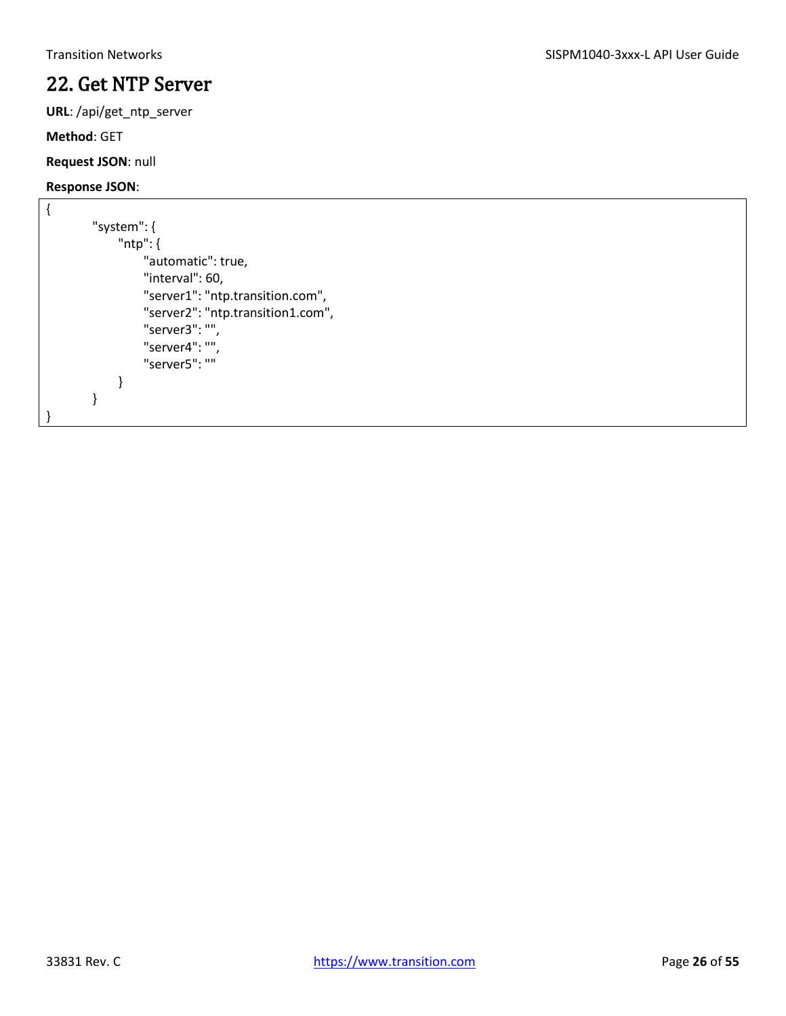### <span id="page-25-0"></span>22. Get NTP Server

**URL**: /api/get\_ntp\_server

**Method**: GET

**Request JSON**: null

```
{
        "system": {
              "ntp": {
                   "automatic": true,
                   "interval": 60,
                   "server1": "ntp.transition.com",
                   "server2": "ntp.transition1.com",
                   "server3": "",
                   "server4": "",
                   "server5": ""
              }
        }
}
```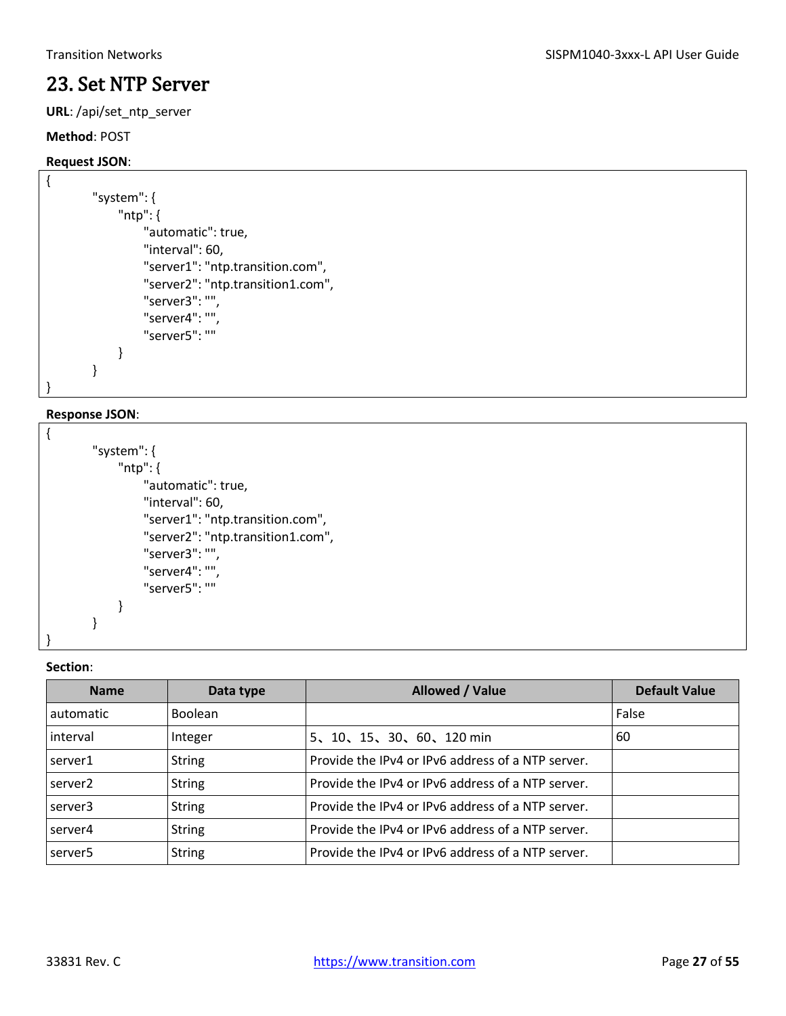### <span id="page-26-0"></span>23. Set NTP Server

**URL**: /api/set\_ntp\_server

#### **Method**: POST

#### **Request JSON**:

{

}

```
"system": {
      "ntp": {
          "automatic": true,
          "interval": 60,
          "server1": "ntp.transition.com",
          "server2": "ntp.transition1.com",
          "server3": "",
          "server4": "",
          "server5": ""
     }
}
```
#### **Response JSON**:

```
{
         "system": {
              "ntp": {
                   "automatic": true,
                   "interval": 60,
                   "server1": "ntp.transition.com",
                   "server2": "ntp.transition1.com",
                   "server3": "",
                   "server4": "",
                   "server5": ""
              }
        }
```
#### **Section**:

}

| <b>Name</b>         | Data type      | <b>Allowed / Value</b>                            | <b>Default Value</b> |
|---------------------|----------------|---------------------------------------------------|----------------------|
| automatic           | <b>Boolean</b> |                                                   | False                |
| interval            | Integer        | 5、10、15、30、60、120 min                             | 60                   |
| server1             | <b>String</b>  | Provide the IPv4 or IPv6 address of a NTP server. |                      |
| server <sub>2</sub> | <b>String</b>  | Provide the IPv4 or IPv6 address of a NTP server. |                      |
| server3             | <b>String</b>  | Provide the IPv4 or IPv6 address of a NTP server. |                      |
| server4             | <b>String</b>  | Provide the IPv4 or IPv6 address of a NTP server. |                      |
| server <sub>5</sub> | <b>String</b>  | Provide the IPv4 or IPv6 address of a NTP server. |                      |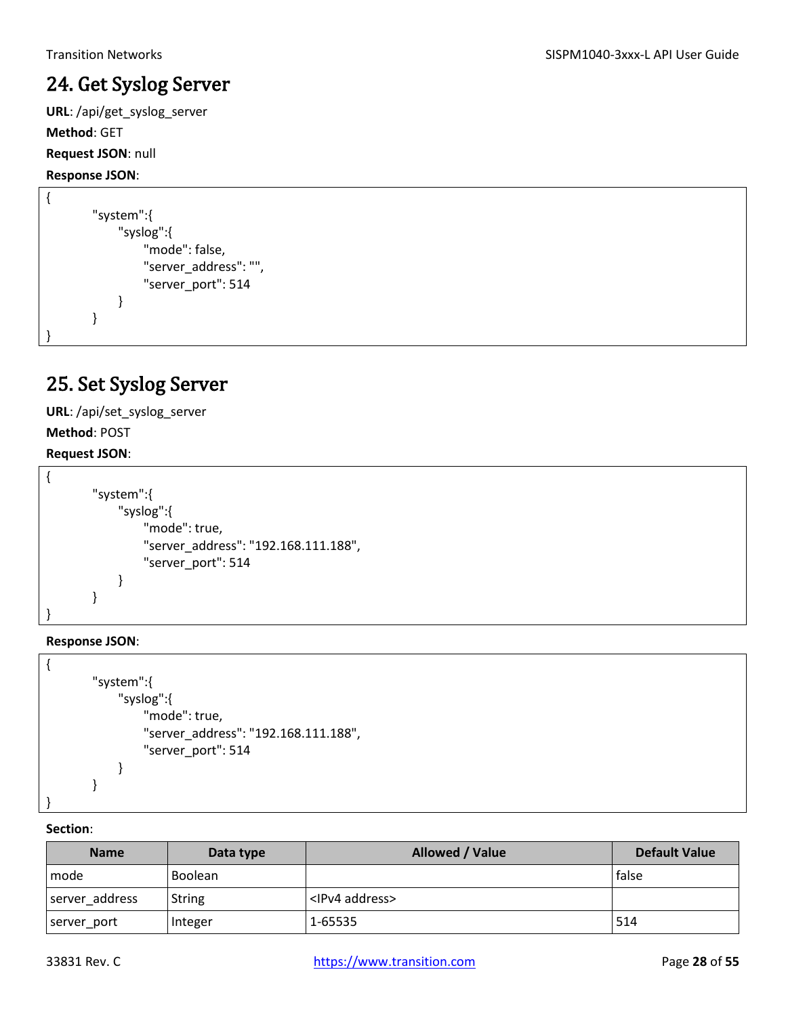### <span id="page-27-0"></span>24. Get Syslog Server

**URL**: /api/get\_syslog\_server

**Method**: GET

#### **Request JSON**: null

**Response JSON**:

```
{
         "system":{
              "syslog":{
                   "mode": false,
                   "server_address": "",
                   "server_port": 514
              }
        }
}
```
### <span id="page-27-1"></span>25. Set Syslog Server

**URL**: /api/set\_syslog\_server

**Method**: POST

#### **Request JSON**:

```
{
        "system":{
              "syslog":{
                   "mode": true,
                   "server_address": "192.168.111.188",
                   "server_port": 514
              }
        }
}
```
#### **Response JSON**:

```
{
        "system":{
              "syslog":{
                   "mode": true,
                   "server_address": "192.168.111.188",
                   "server_port": 514
              }
        }
}
```

| <b>Name</b>    | Data type      | Allowed / Value          | <b>Default Value</b> |
|----------------|----------------|--------------------------|----------------------|
| l mode         | <b>Boolean</b> |                          | <b>false</b>         |
| server address | <b>String</b>  | <ipv4 address=""></ipv4> |                      |
| server_port    | Integer        | 1-65535                  | 1514                 |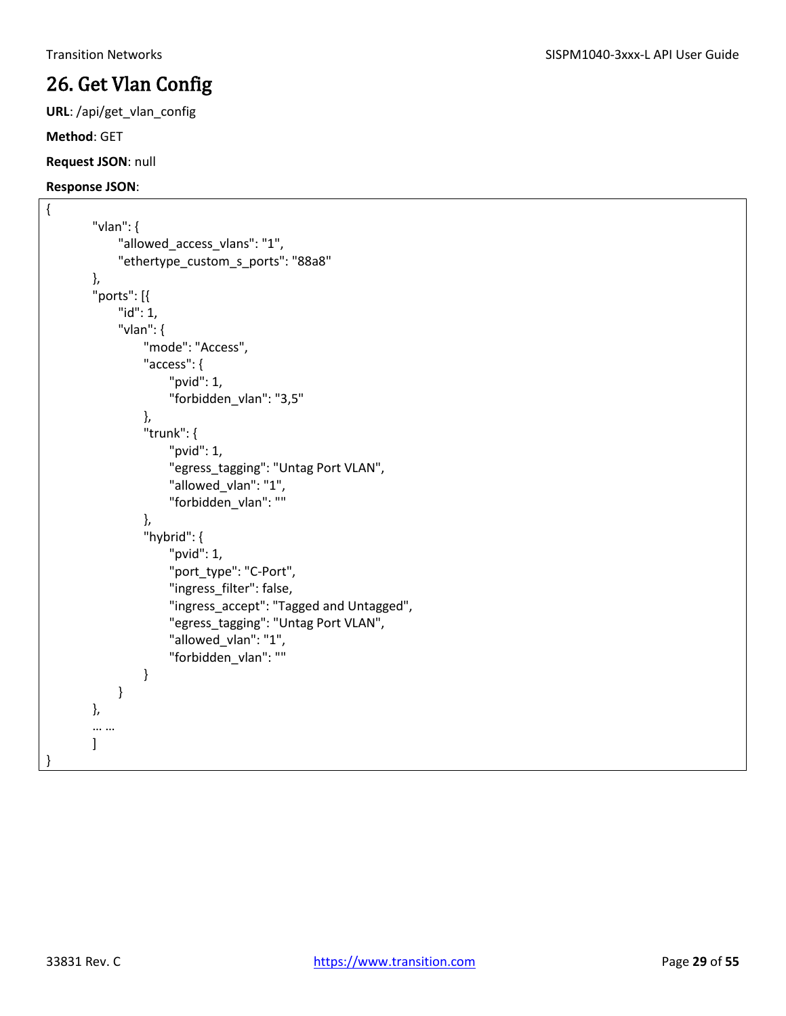# <span id="page-28-0"></span>26. Get Vlan Config

**URL**: /api/get\_vlan\_config

**Method**: GET

#### **Request JSON**: null

```
{
         "vlan": {
              "allowed access vlans": "1",
               "ethertype_custom_s_ports": "88a8"
        },
         "ports": [{
               "id": 1, 
               "vlan": { 
                   "mode": "Access", 
                    "access": { 
                         "pvid": 1, 
                         "forbidden_vlan": "3,5" 
                   }, 
                    "trunk": { 
                         "pvid": 1, 
                         "egress_tagging": "Untag Port VLAN", 
                         "allowed_vlan": "1", 
                         "forbidden_vlan": "" 
                   }, 
                    "hybrid": { 
                         "pvid": 1, 
                         "port_type": "C-Port", 
                         "ingress_filter": false, 
                         "ingress_accept": "Tagged and Untagged", 
                         "egress_tagging": "Untag Port VLAN", 
                         "allowed_vlan": "1", 
                         "forbidden_vlan": "" 
                   } 
               } 
        }, 
         … … 
        ] 
}
```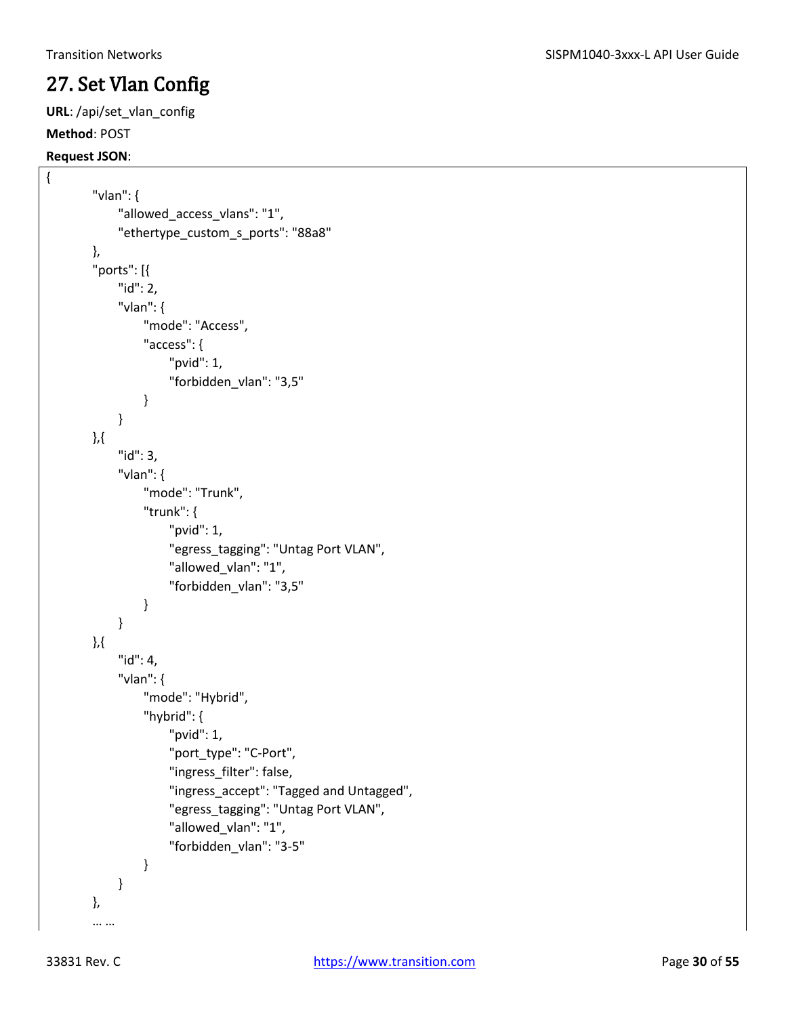### <span id="page-29-0"></span>27. Set Vlan Config

**URL**: /api/set\_vlan\_config

### **Method**: POST

#### **Request JSON**:

{

```
"vlan": {
     "allowed access vlans": "1",
      "ethertype_custom_s_ports": "88a8"
},
"ports": [{
     "id": 2,
      "vlan": {
          "mode": "Access",
          "access": {
               "pvid": 1,
               "forbidden_vlan": "3,5"
          }
     }
},{
      "id": 3,
      "vlan": {
          "mode": "Trunk",
          "trunk": {
               "pvid": 1,
               "egress_tagging": "Untag Port VLAN",
               "allowed_vlan": "1",
               "forbidden_vlan": "3,5" 
          }
     }
},{
      "id": 4,
      "vlan": {
          "mode": "Hybrid",
          "hybrid": {
               "pvid": 1,
               "port_type": "C-Port",
               "ingress_filter": false,
               "ingress_accept": "Tagged and Untagged",
               "egress_tagging": "Untag Port VLAN",
               "allowed_vlan": "1",
               "forbidden_vlan": "3-5"
          }
      }
},
… …
```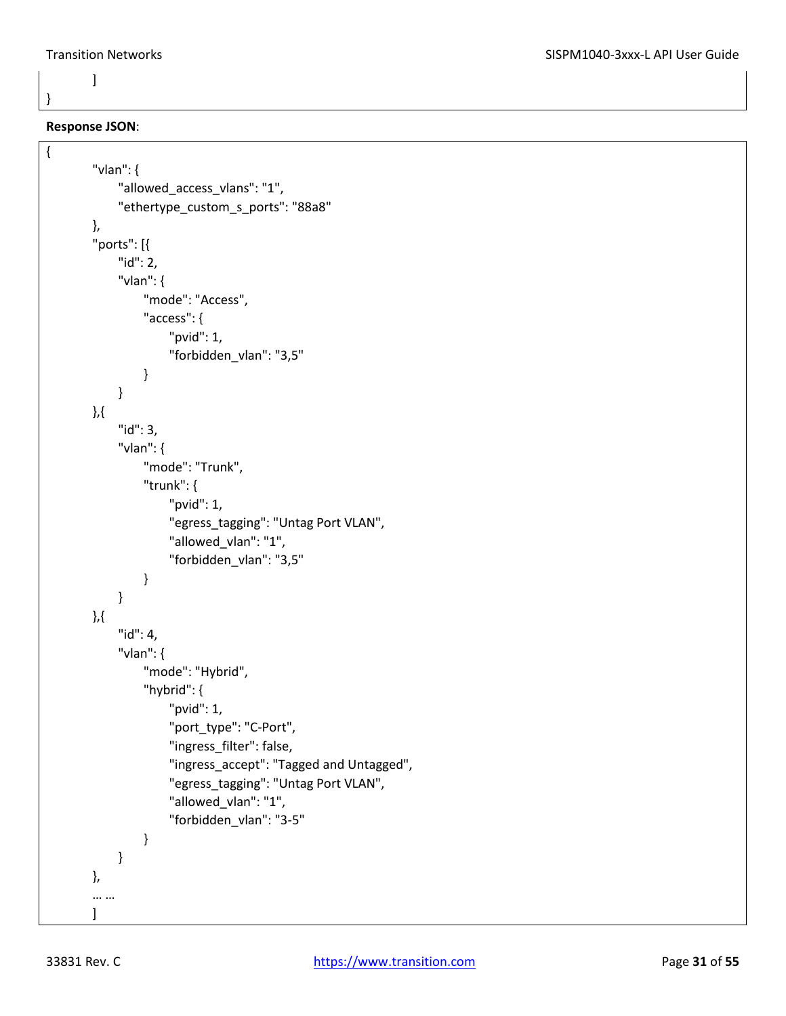}

{

#### **Response JSON**:

]

```
"vlan": {
      "allowed_access_vlans": "1",
      "ethertype_custom_s_ports": "88a8"
},
"ports": [{
      "id": 2,
      "vlan": {
          "mode": "Access",
          "access": {
               "pvid": 1,
               "forbidden_vlan": "3,5"
          }
     }
},{
      "id": 3,
      "vlan": {
          "mode": "Trunk",
          "trunk": {
               "pvid": 1,
               "egress_tagging": "Untag Port VLAN",
               "allowed_vlan": "1",
               "forbidden_vlan": "3,5" 
          }
     }
},{
     "id": 4,
      "vlan": {
          "mode": "Hybrid",
          "hybrid": {
               "pvid": 1,
               "port_type": "C-Port",
               "ingress_filter": false,
               "ingress_accept": "Tagged and Untagged",
               "egress_tagging": "Untag Port VLAN",
               "allowed_vlan": "1",
               "forbidden_vlan": "3-5"
          }
     }
},
… …
]
```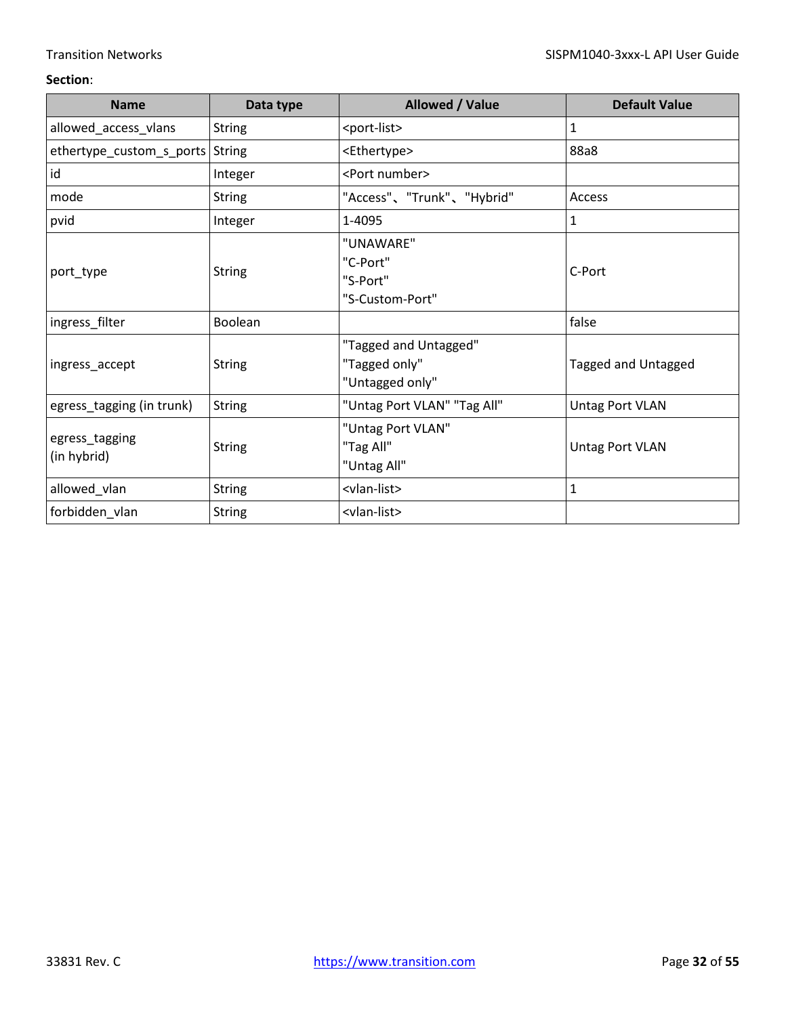| <b>Name</b>                     | Data type      | Allowed / Value                                           | <b>Default Value</b>   |
|---------------------------------|----------------|-----------------------------------------------------------|------------------------|
| allowed_access_vlans            | <b>String</b>  | <port-list></port-list>                                   | 1                      |
| ethertype_custom_s_ports String |                | <ethertype></ethertype>                                   | 88a8                   |
| id                              | Integer        | <port number=""></port>                                   |                        |
| mode                            | <b>String</b>  | "Access"、"Trunk"、"Hybrid"                                 | Access                 |
| pvid                            | Integer        | 1-4095                                                    | $\mathbf{1}$           |
| port_type                       | <b>String</b>  | "UNAWARE"<br>"C-Port"<br>"S-Port"<br>"S-Custom-Port"      | C-Port                 |
| ingress_filter                  | <b>Boolean</b> |                                                           | false                  |
| ingress_accept                  | <b>String</b>  | "Tagged and Untagged"<br>"Tagged only"<br>"Untagged only" | Tagged and Untagged    |
| egress_tagging (in trunk)       | <b>String</b>  | "Untag Port VLAN" "Tag All"                               | <b>Untag Port VLAN</b> |
| egress_tagging<br>(in hybrid)   | <b>String</b>  | "Untag Port VLAN"<br>"Tag All"<br>"Untag All"             | <b>Untag Port VLAN</b> |
| allowed_vlan                    | <b>String</b>  | <vlan-list></vlan-list>                                   | $\mathbf{1}$           |
| forbidden_vlan                  | <b>String</b>  | <vlan-list></vlan-list>                                   |                        |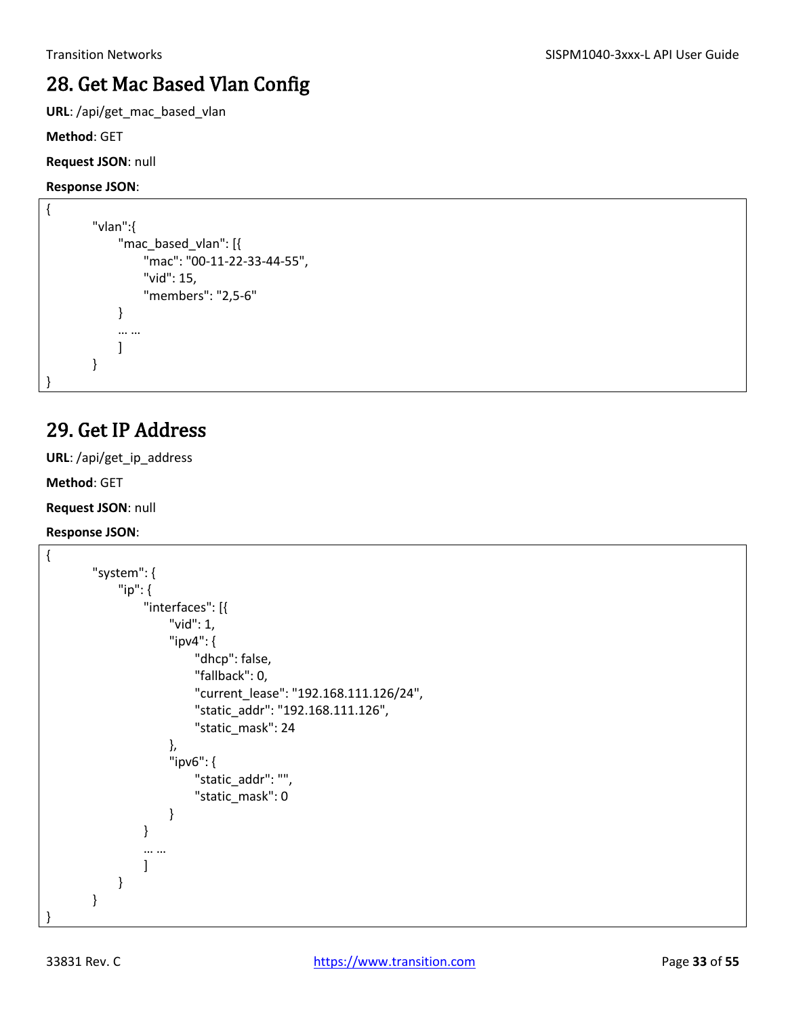## <span id="page-32-0"></span>28. Get Mac Based Vlan Config

**URL**: /api/get\_mac\_based\_vlan

**Method**: GET

**Request JSON**: null

**Response JSON**:

```
{
         "vlan":{
               "mac_based_vlan": [{
                    "mac": "00-11-22-33-44-55",
                    "vid": 15,
                    "members": "2,5-6"
               }
               … …
              \mathbf{I}}
}
```
### <span id="page-32-1"></span>29. Get IP Address

**URL**: /api/get\_ip\_address

**Method**: GET

**Request JSON**: null

```
{
        "system": {
              "ip": {
                   "interfaces": [{
                        "vid": 1,
                        "ipv4": { 
                            "dhcp": false,
                            "fallback": 0,
                            "current_lease": "192.168.111.126/24",
                            "static_addr": "192.168.111.126",
                            "static_mask": 24 
                        },
                        "ipv6": {
                            "static_addr": "",
                            "static_mask": 0 
          }
                   }
                   … …
                   ]
              }
        }
}
```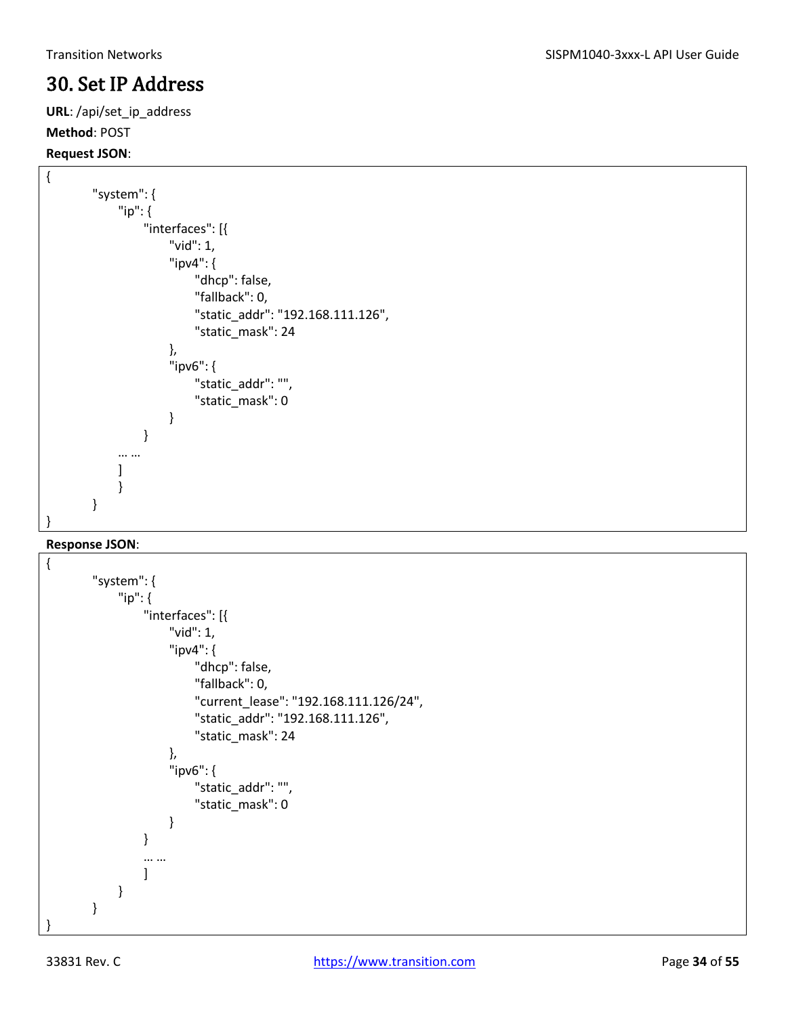### <span id="page-33-0"></span>30. Set IP Address

**URL**: /api/set\_ip\_address **Method**: POST

#### **Request JSON**:

```
{
        "system": {
              "ip": {
                   "interfaces": [{
                        "vid": 1,
                        "ipv4": {
                             "dhcp": false,
                             "fallback": 0,
                             "static_addr": "192.168.111.126",
                             "static_mask": 24
                        },
                        "ipv6": {
                             "static_addr": "",
                             "static_mask": 0
          }
                   }
              … …
              ]
              }
        }
}
```

```
{
        "system": {
              "ip": {
                   "interfaces": [{
                        "vid": 1,
                        "ipv4": {
                            "dhcp": false,
                            "fallback": 0,
                            "current_lease": "192.168.111.126/24",
                            "static_addr": "192.168.111.126",
                            "static_mask": 24
                       },
                        "ipv6": {
                            "static_addr": "",
                            "static_mask": 0
          }
                   }
                   … …
                   ]
              }
        }
}
```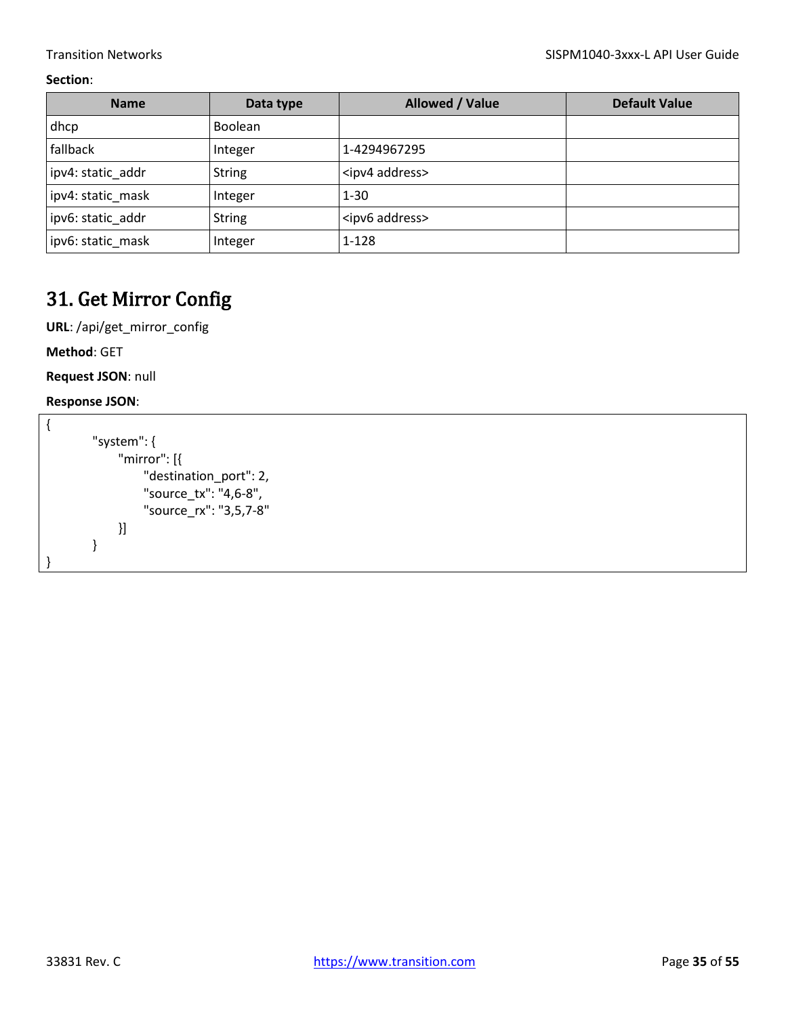| <b>Name</b>       | Data type     | Allowed / Value          | <b>Default Value</b> |
|-------------------|---------------|--------------------------|----------------------|
| dhcp              | Boolean       |                          |                      |
| fallback          | Integer       | 1-4294967295             |                      |
| ipv4: static addr | <b>String</b> | <ipv4 address=""></ipv4> |                      |
| ipv4: static mask | Integer       | $1 - 30$                 |                      |
| ipv6: static addr | <b>String</b> | <ipv6 address=""></ipv6> |                      |
| ipv6: static mask | Integer       | $1 - 128$                |                      |

### <span id="page-34-0"></span>31. Get Mirror Config

**URL**: /api/get\_mirror\_config

**Method**: GET

**Request JSON**: null

| "system": $\{$         |
|------------------------|
| "mirror": $[$          |
| "destination_port": 2, |
| "source_tx": "4,6-8",  |
| "source_rx": "3,5,7-8" |
| }]                     |
|                        |
|                        |
|                        |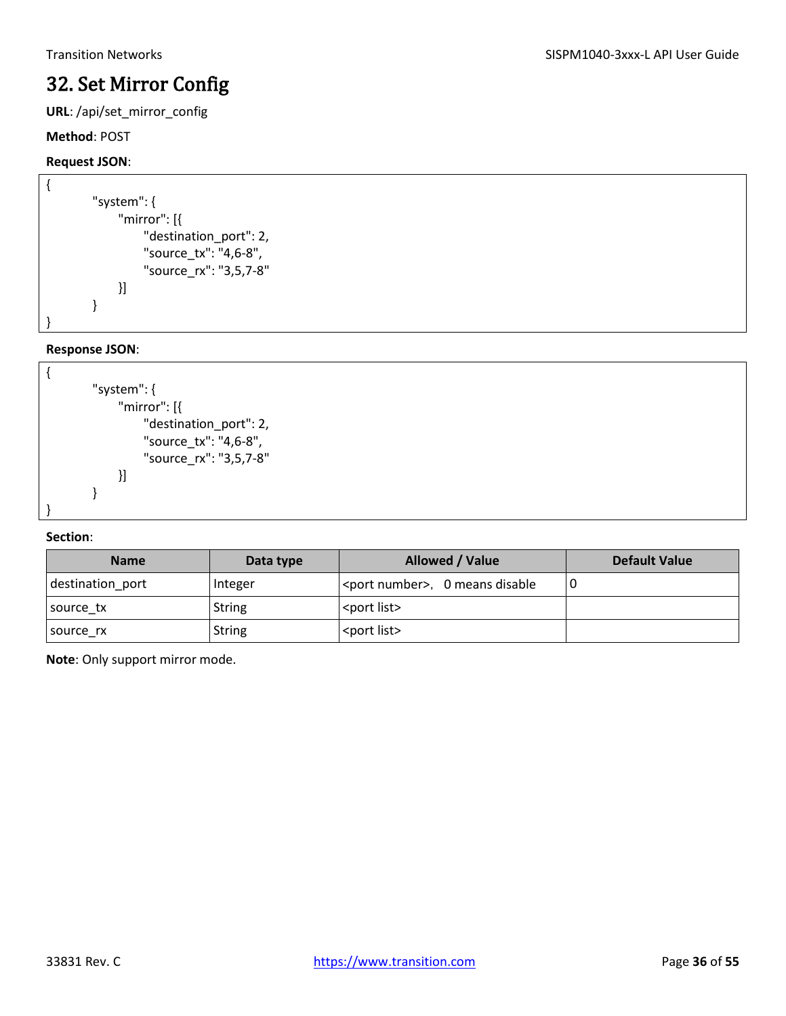### <span id="page-35-0"></span>32. Set Mirror Config

**URL**: /api/set\_mirror\_config

#### **Method**: POST

#### **Request JSON**:

```
{
        "system": {
              "mirror": [{
                   "destination_port": 2,
                   "source_tx": "4,6-8",
                   "source_rx": "3,5,7-8"
              }]
        }
}
```
#### **Response JSON**:



#### **Section**:

| <b>Name</b>      | Data type     | <b>Allowed / Value</b>                   | <b>Default Value</b> |
|------------------|---------------|------------------------------------------|----------------------|
| destination_port | Integer       | <port number="">, 0 means disable</port> |                      |
| source tx        | <b>String</b> | <port list=""></port>                    |                      |
| Isource rx       | <b>String</b> | <port list=""></port>                    |                      |

**Note**: Only support mirror mode.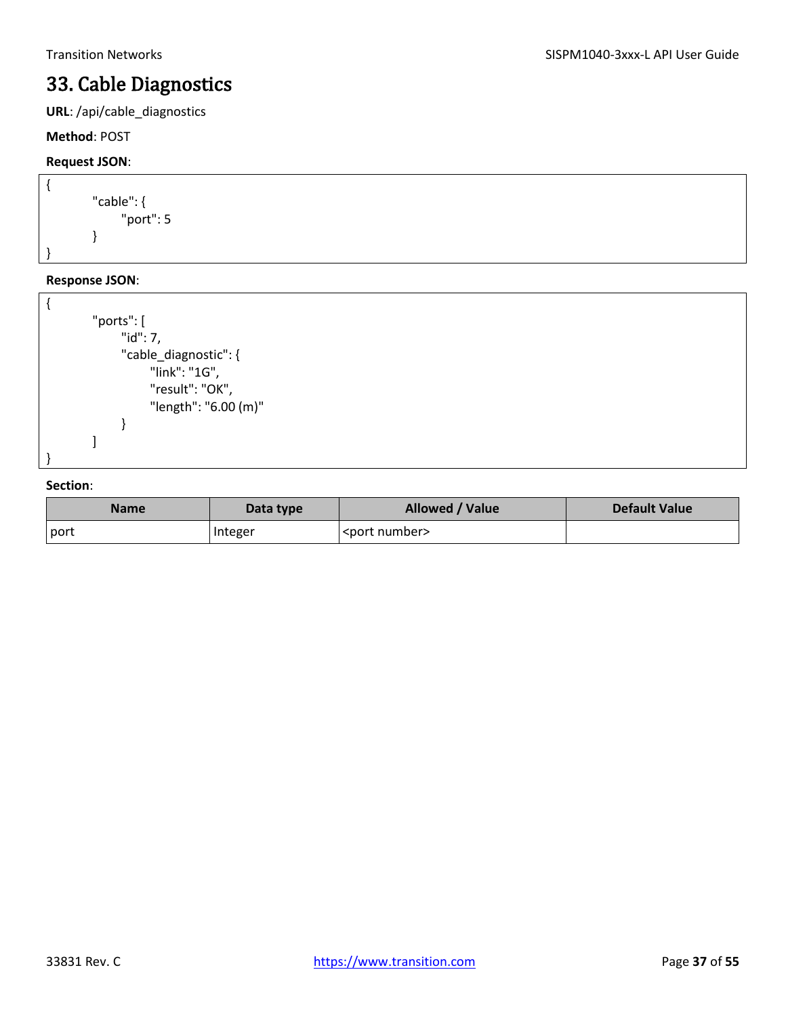### <span id="page-36-0"></span>33. Cable Diagnostics

**URL**: /api/cable\_diagnostics

**Method**: POST

#### **Request JSON**:

```
{
         "cable": {
               "port": 5
         }
}
```
#### **Response JSON**:

```
{
         "ports": [
               "id": 7,
               "cable_diagnostic": {
                     "link": "1G",
                     "result": "OK",
                     "length": "6.00 (m)"
               }
         ]
}
```

| Name | Data type      | <b>Allowed / Value</b>  | <b>Default Value</b> |
|------|----------------|-------------------------|----------------------|
| port | <b>Integer</b> | <port number=""></port> |                      |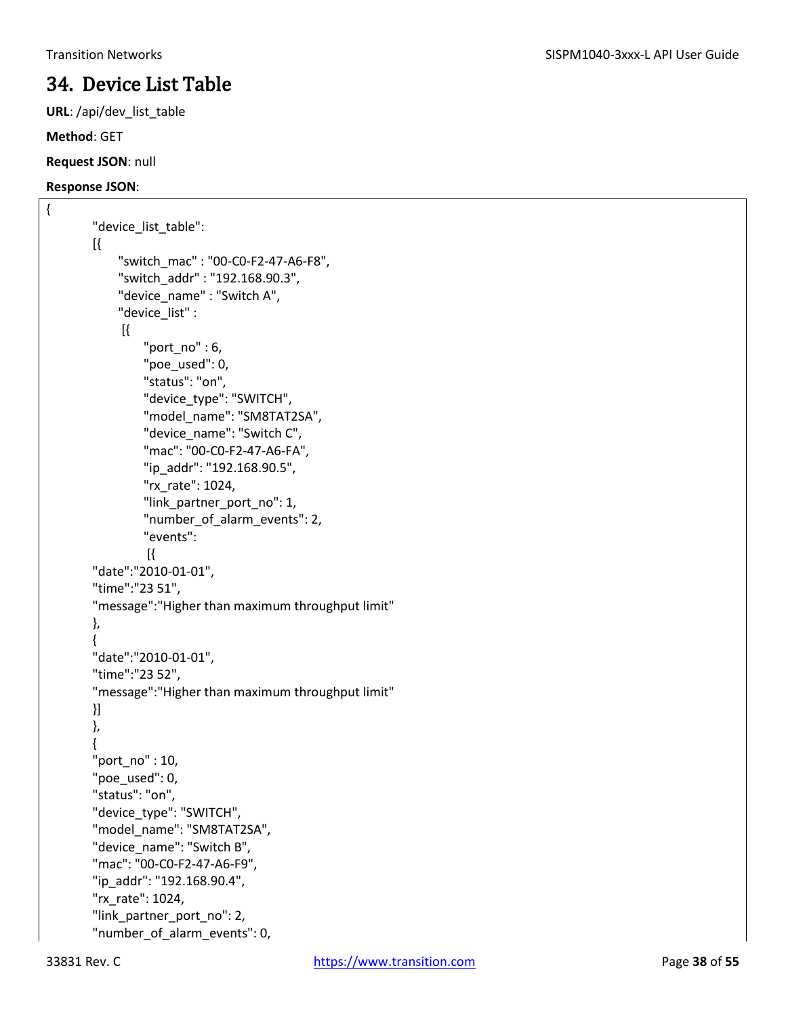### <span id="page-37-0"></span>34. Device List Table

**URL**: /api/dev\_list\_table

**Method**: GET

#### **Request JSON**: null

**Response JSON**:

{

```
"device list table":
[{
     "switch_mac" : "00-C0-F2-47-A6-F8",
     "switch_addr" : "192.168.90.3",
     "device_name" : "Switch A",
     "device_list" :
      [{
          "port_no" : 6,
          "poe_used": 0,
          "status": "on",
          "device_type": "SWITCH",
          "model_name": "SM8TAT2SA",
          "device_name": "Switch C",
          "mac": "00-C0-F2-47-A6-FA",
          "ip_addr": "192.168.90.5",
          "rx_rate": 1024,
          "link_partner_port_no": 1,
          "number_of_alarm_events": 2,
          "events":
          [{
"date":"2010-01-01",
"time":"23 51",
"message":"Higher than maximum throughput limit"
},
{
"date":"2010-01-01",
"time":"23 52",
"message":"Higher than maximum throughput limit"
}]
},
{
"port_no" : 10,
"poe_used": 0,
"status": "on",
"device_type": "SWITCH",
"model_name": "SM8TAT2SA",
"device_name": "Switch B",
"mac": "00-C0-F2-47-A6-F9",
"ip_addr": "192.168.90.4",
"rx_rate": 1024,
"link_partner_port_no": 2,
"number_of_alarm_events": 0,
```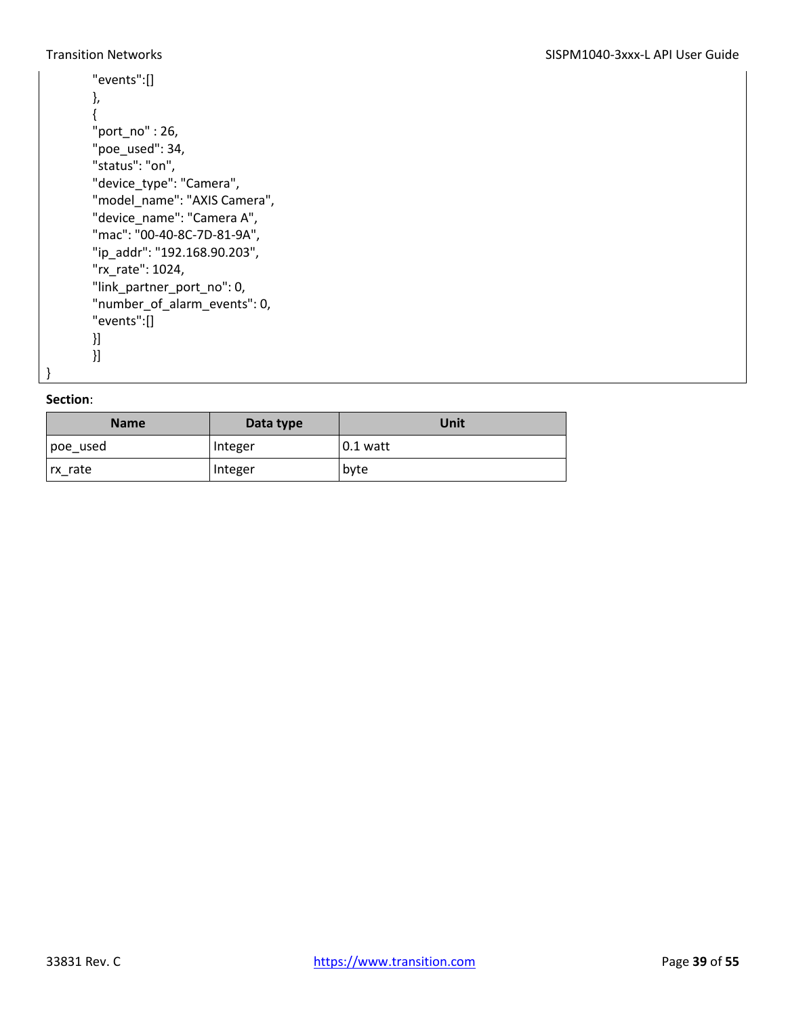#### Transition Networks **SISPM1040-3xxx-L API User Guide**

```
"events":[]
},
{
"port_no" : 26,
"poe_used": 34,
"status": "on",
"device_type": "Camera",
"model_name": "AXIS Camera",
"device_name": "Camera A",
"mac": "00-40-8C-7D-81-9A",
"ip_addr": "192.168.90.203",
"rx_rate": 1024,
"link_partner_port_no": 0,
"number_of_alarm_events": 0,
"events":[]
}]
}]
```
#### **Section**:

}

| <b>Name</b> | Data type | Unit       |
|-------------|-----------|------------|
| poe_used    | Integer   | $0.1$ watt |
| rx_rate     | Integer   | byte       |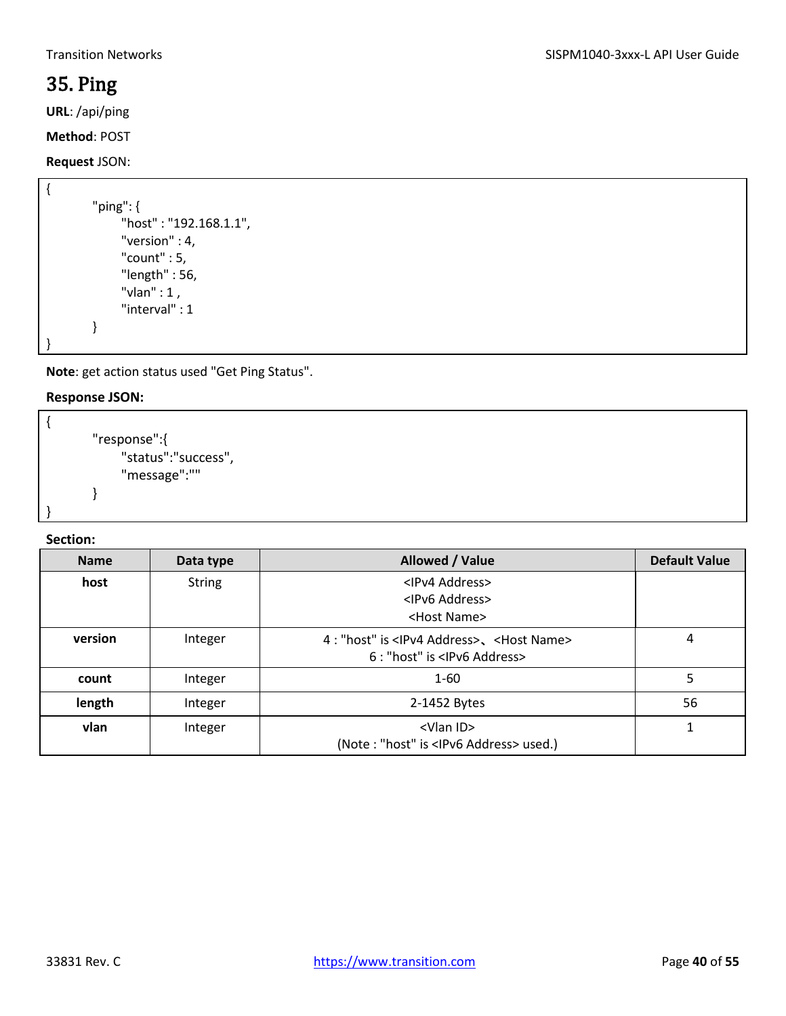### <span id="page-39-0"></span>35. Ping

**URL**: /api/ping

**Method**: POST

#### **Request** JSON:

```
{
         "ping": {
               "host" : "192.168.1.1",
               "version" : 4,
               "count" : 5,
               "length" : 56,
               "vlan" : 1 ,
               "interval" : 1
         }
}
```
**Note**: get action status used "Get Ping Status".

#### **Response JSON:**

```
{ 
         "response":{ 
               "status":"success", 
               "message":"" 
         } 
}
```

| <b>Name</b> | Data type     | Allowed / Value                                                                                         | <b>Default Value</b> |
|-------------|---------------|---------------------------------------------------------------------------------------------------------|----------------------|
| host        | <b>String</b> | <ipv4 address=""><br/><ipv6 address=""><br/><host name=""></host></ipv6></ipv4>                         |                      |
| version     | Integer       | 4 : "host" is <ipv4 address="">、<host name=""><br/>6 : "host" is <lpv6 address=""></lpv6></host></ipv4> | 4                    |
| count       | Integer       | $1 - 60$                                                                                                | 5                    |
| length      | Integer       | 2-1452 Bytes                                                                                            | 56                   |
| vlan        | Integer       | <vlan id=""><br/>(Note: "host" is <ipv6 address=""> used.)</ipv6></vlan>                                |                      |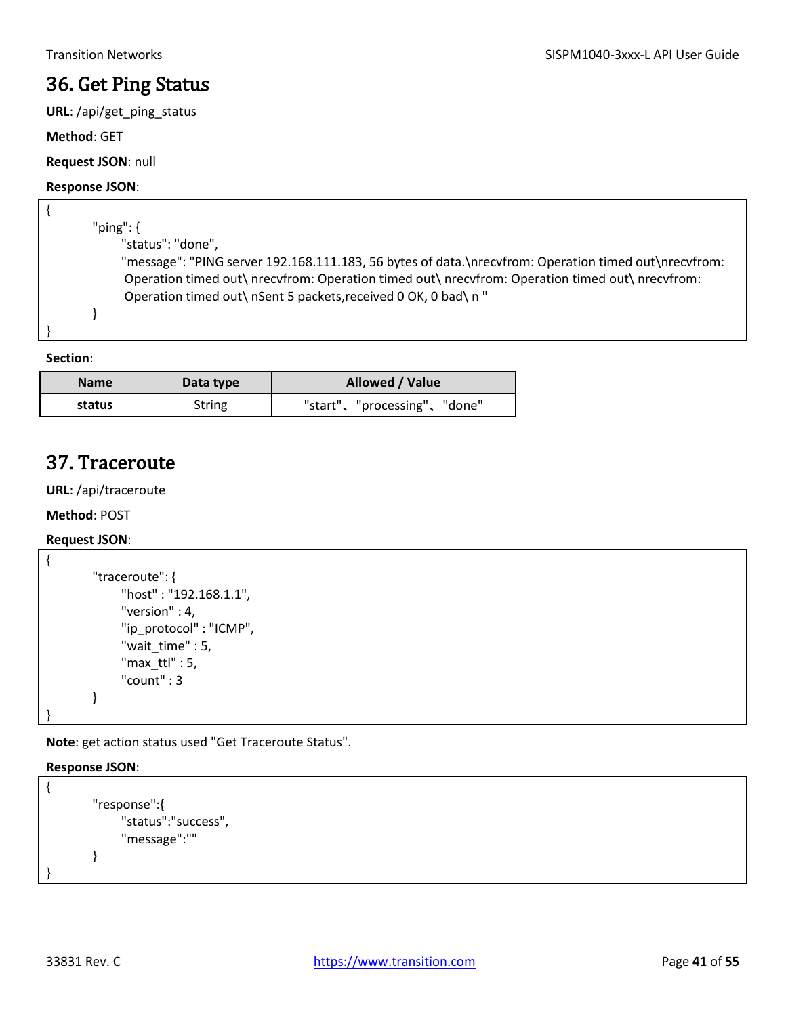### <span id="page-40-0"></span>36. Get Ping Status

**URL**: /api/get\_ping\_status

**Method**: GET

#### **Request JSON**: null

#### **Response JSON**:

| "ping": $\{$ |                                                                                                      |
|--------------|------------------------------------------------------------------------------------------------------|
|              | "status": "done",                                                                                    |
|              | "message": "PING server 192.168.111.183, 56 bytes of data.\nrecvfrom: Operation timed out\nrecvfrom: |
|              | Operation timed out\ nrecvfrom: Operation timed out\ nrecvfrom: Operation timed out\ nrecvfrom:      |
|              | Operation timed out\ nSent 5 packets, received 0 OK, 0 bad\ n "                                      |
|              |                                                                                                      |
|              |                                                                                                      |
|              |                                                                                                      |

**Section**:

| <b>Name</b> | Data type | Allowed / Value             |
|-------------|-----------|-----------------------------|
| status      | String    | "start"、"processing"、"done" |

### <span id="page-40-1"></span>37. Traceroute

**URL**: /api/traceroute

**Method**: POST

#### **Request JSON**:

```
{
        "traceroute": {
               "host" : "192.168.1.1",
               "version" : 4,
               "ip_protocol" : "ICMP",
               "wait_time" : 5,
               "max_ttl" : 5,
               "count" : 3
        }
}
```
**Note**: get action status used "Get Traceroute Status".

```
{
        "response":{
              "status":"success",
              "message":""
        }
}
```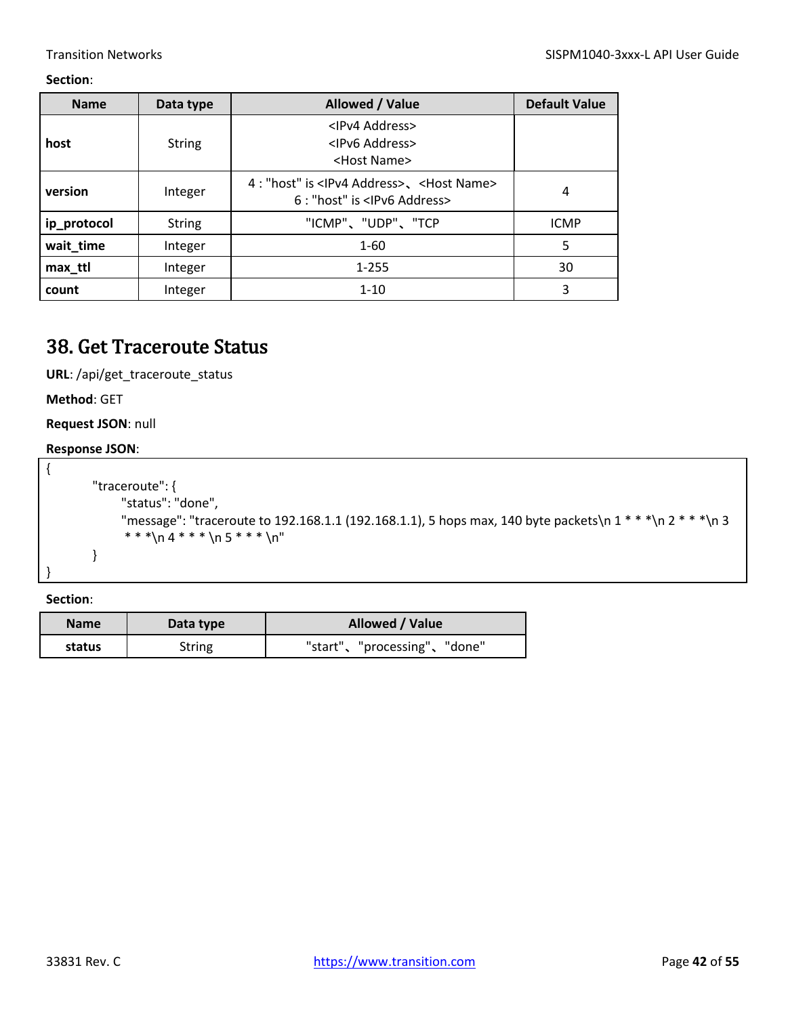| <b>Name</b> | Data type     | Allowed / Value                                                                                         | <b>Default Value</b> |
|-------------|---------------|---------------------------------------------------------------------------------------------------------|----------------------|
| host        | <b>String</b> | <ipv4 address=""><br/><ipv6 address=""><br/><host name=""></host></ipv6></ipv4>                         |                      |
| version     | Integer       | 4 : "host" is <ipv4 address="">、<host name=""><br/>6 : "host" is <lpv6 address=""></lpv6></host></ipv4> | 4                    |
| ip_protocol | <b>String</b> | "ICMP"、"UDP"、"TCP                                                                                       | <b>ICMP</b>          |
| wait_time   | Integer       | $1 - 60$                                                                                                | 5                    |
| max_ttl     | Integer       | 1-255                                                                                                   | 30                   |
| count       | Integer       | $1 - 10$                                                                                                | 3                    |

### <span id="page-41-0"></span>38. Get Traceroute Status

**URL**: /api/get\_traceroute\_status

**Method**: GET

**Request JSON**: null

#### **Response JSON**:

```
{
        "traceroute": {
              "status": "done",
              "message": "traceroute to 192.168.1.1 (192.168.1.1), 5 hops max, 140 byte packets\n 1 * * *\n 2 * * *\n 3 
              * * *\ln 4 * * * \ln 5 * * * \ln"
        }
}
```

| <b>Name</b> | Data type     | Allowed / Value             |
|-------------|---------------|-----------------------------|
| status      | <b>String</b> | "start"、"processing"、"done" |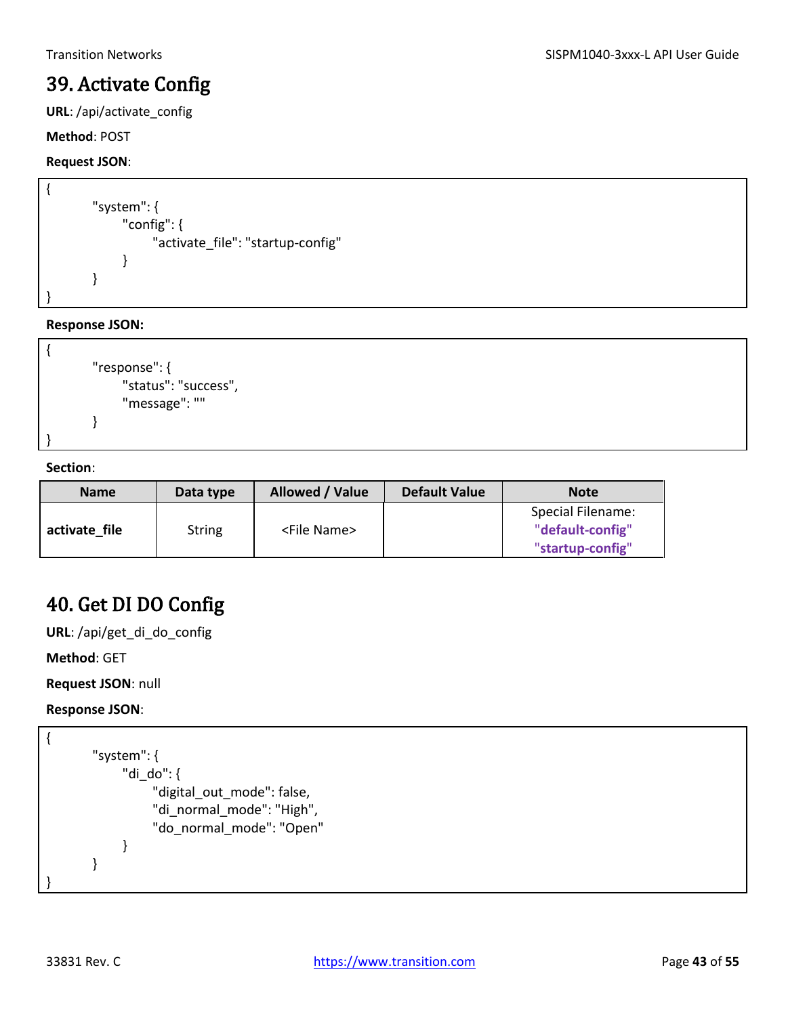### <span id="page-42-0"></span>39. Activate Config

**URL**: /api/activate\_config

#### **Method**: POST

#### **Request JSON**:

```
{
         "system": { 
                "config": { 
                      "activate_file": "startup-config" 
                } 
         } 
}
```
**Response JSON:**

```
{
        "response": {
              "status": "success",
              "message": ""
        }
}
```
#### **Section**:

| <b>Name</b>   | Data type     | Allowed / Value       | <b>Default Value</b> | <b>Note</b>                                               |
|---------------|---------------|-----------------------|----------------------|-----------------------------------------------------------|
| activate file | <b>String</b> | <file name=""></file> |                      | Special Filename:<br>"default-config"<br>"startup-config" |

### <span id="page-42-1"></span>40. Get DI DO Config

**URL**: /api/get\_di\_do\_config

**Method**: GET

**Request JSON**: null

```
{
       "system": {
             "di_do": {
                  "digital_out_mode": false,
                  "di_normal_mode": "High",
                  "do_normal_mode": "Open"
             }
       }
}
```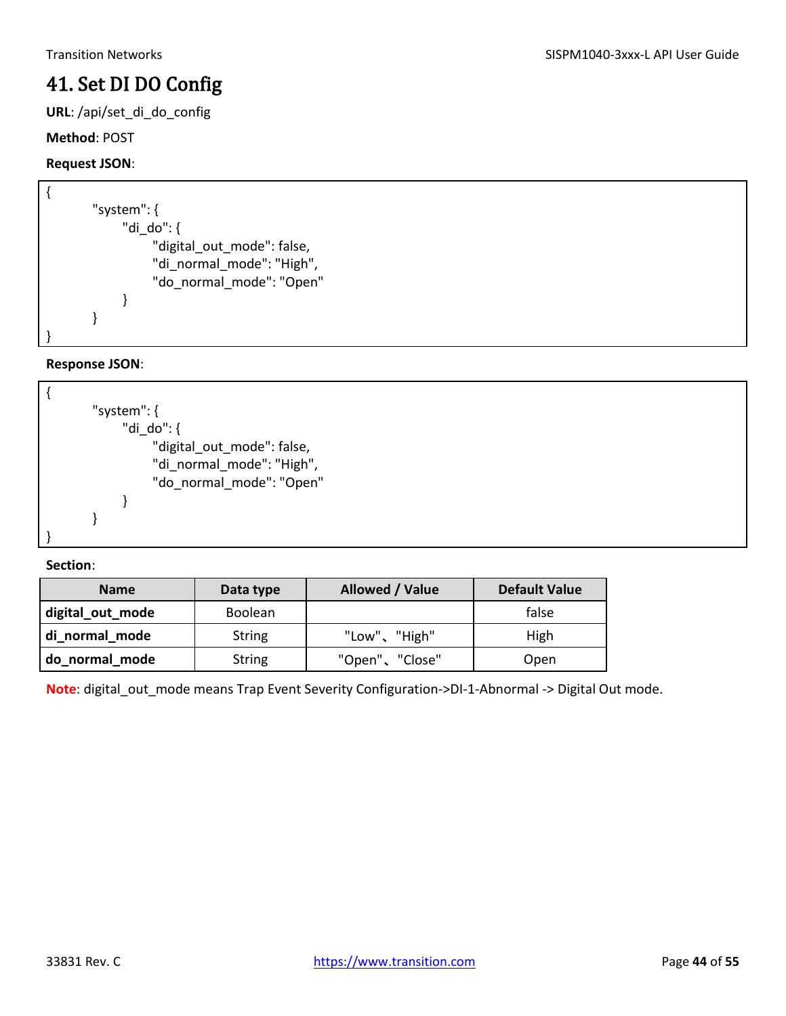### <span id="page-43-0"></span>41. Set DI DO Config

**URL**: /api/set\_di\_do\_config

#### **Method**: POST

#### **Request JSON**:

```
{
       "system": {
             "di_do": {
                  "digital_out_mode": false,
                  "di_normal_mode": "High",
                  "do_normal_mode": "Open"
             }
       }
}
```
#### **Response JSON**:



#### **Section**:

| <b>Name</b>      | Data type      | Allowed / Value | <b>Default Value</b> |
|------------------|----------------|-----------------|----------------------|
| digital_out_mode | <b>Boolean</b> |                 | false                |
| di_normal_mode   | <b>String</b>  | "Low"、"High"    | High                 |
| do normal mode   | <b>String</b>  | "Open"、"Close"  | Open                 |

**Note**: digital\_out\_mode means Trap Event Severity Configuration->DI-1-Abnormal -> Digital Out mode.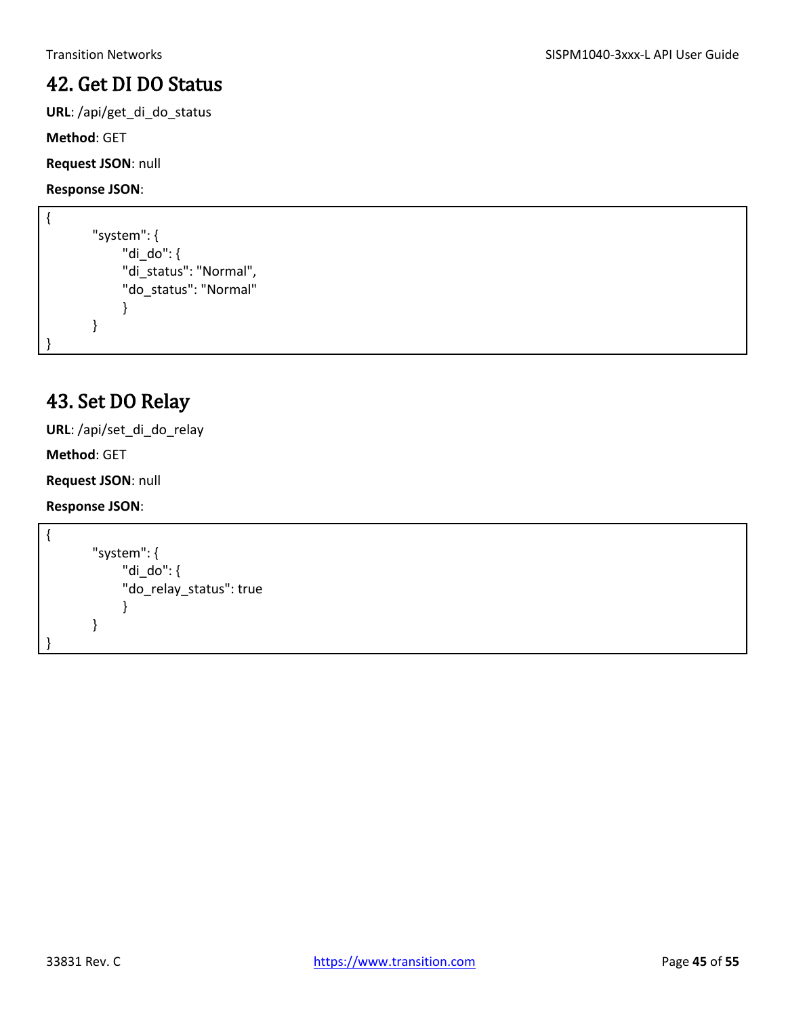### <span id="page-44-0"></span>42. Get DI DO Status

**URL**: /api/get\_di\_do\_status

**Method**: GET

**Request JSON**: null

**Response JSON**:

```
{
        "system": {
              "di_do": {
              "di_status": "Normal",
              "do_status": "Normal"
              }
        }
}
```
### <span id="page-44-1"></span>43. Set DO Relay

**URL**: /api/set\_di\_do\_relay

**Method**: GET

**Request JSON**: null

```
{
        "system": {
               "di_do": {
              "do_relay_status": true
               }
        }
}
```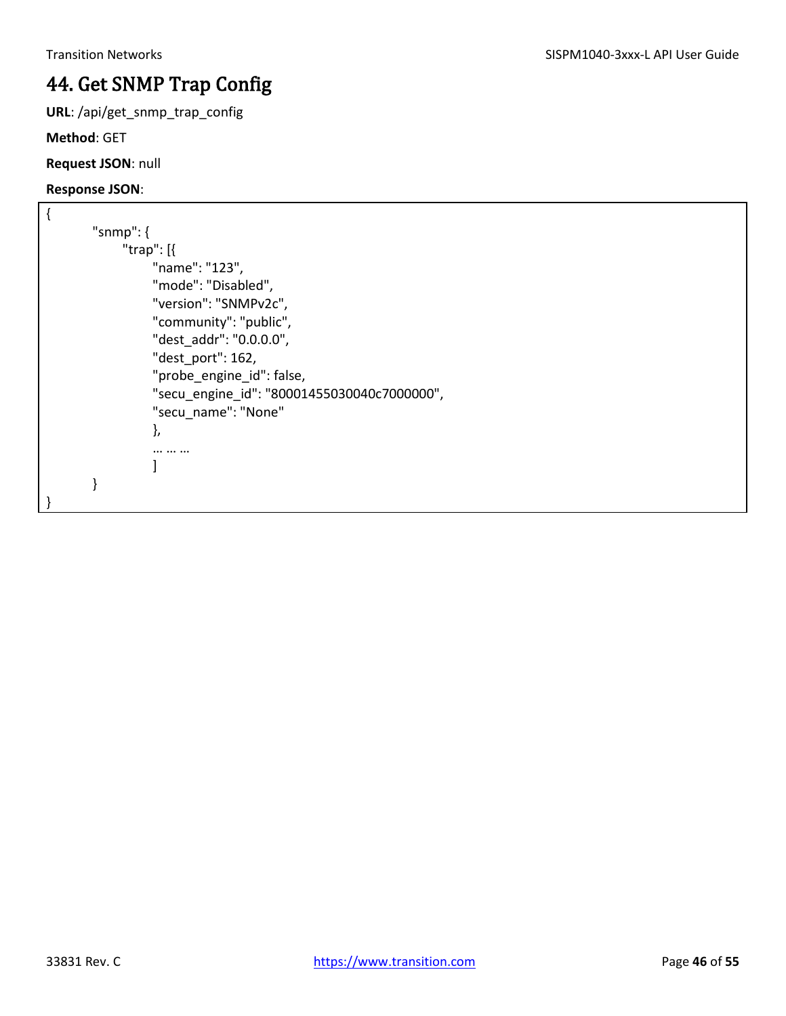## <span id="page-45-0"></span>44. Get SNMP Trap Config

**URL**: /api/get\_snmp\_trap\_config

**Method**: GET

**Request JSON**: null

```
{
       "snmp": {
             "trap": [{
                  "name": "123",
                  "mode": "Disabled",
                  "version": "SNMPv2c",
                  "community": "public",
                  "dest_addr": "0.0.0.0",
                  "dest_port": 162,
                  "probe_engine_id": false,
                  "secu_engine_id": "80001455030040c7000000",
                  "secu_name": "None"
                  },
                  … … …
        ]
       }
}
```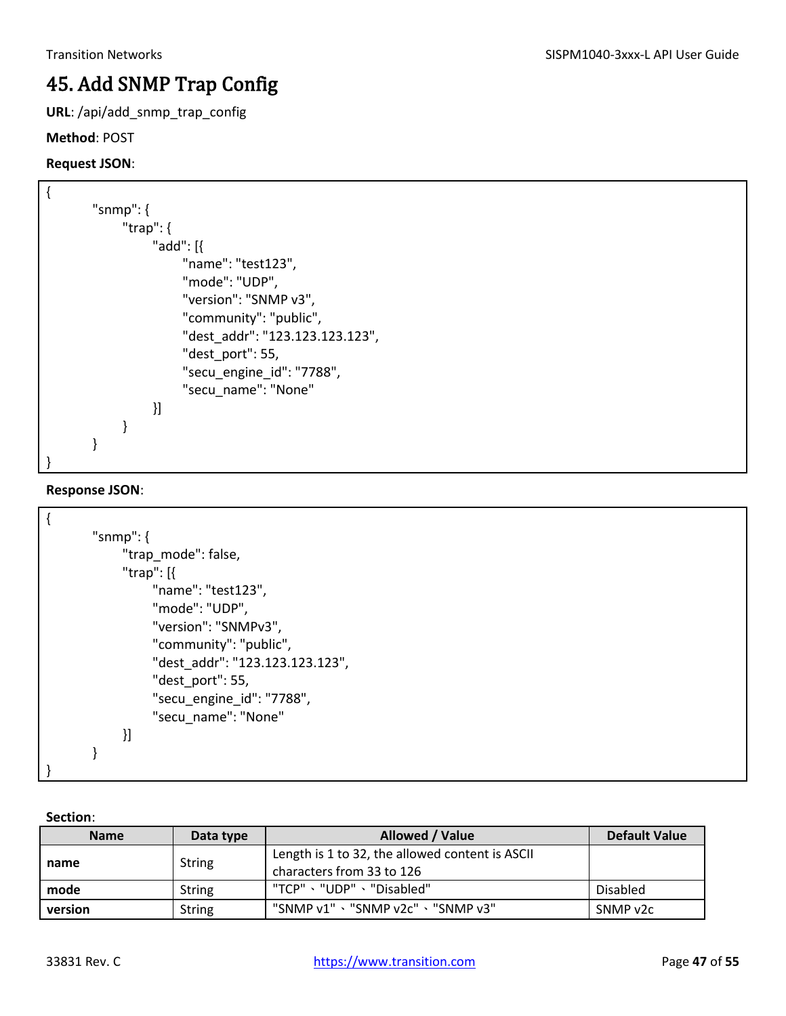## <span id="page-46-0"></span>45. Add SNMP Trap Config

**URL**: /api/add\_snmp\_trap\_config

#### **Method**: POST

### **Request JSON**:

| "snmp": $\{$                 |                                 |
|------------------------------|---------------------------------|
| "trap": $\{$                 |                                 |
| "add": $\lceil \cdot \rceil$ |                                 |
|                              | "name": "test123",              |
|                              | "mode": "UDP",                  |
|                              | "version": "SNMP v3",           |
|                              | "community": "public",          |
|                              | "dest addr": "123.123.123.123", |
|                              | "dest port": 55,                |
|                              | "secu_engine_id": "7788",       |
|                              | "secu name": "None"             |
| }]                           |                                 |
|                              |                                 |
|                              |                                 |
|                              |                                 |

### **Response JSON**:

| "snmp": $\{$                    |
|---------------------------------|
| "trap_mode": false,             |
| "trap": $[$                     |
| "name": "test123",              |
| "mode": "UDP",                  |
| "version": "SNMPv3",            |
| "community": "public",          |
| "dest_addr": "123.123.123.123", |
| "dest_port": 55,                |
| "secu_engine_id": "7788",       |
| "secu name": "None"             |
| }]                              |
|                                 |
|                                 |
|                                 |

| <b>Name</b>    | Data type     | Allowed / Value                                 | <b>Default Value</b> |
|----------------|---------------|-------------------------------------------------|----------------------|
|                | <b>String</b> | Length is 1 to 32, the allowed content is ASCII |                      |
| name           |               | characters from 33 to 126                       |                      |
| mode<br>String |               | "TCP"、"UDP"、"Disabled"                          | Disabled             |
| version        | String        | "SNMP v1"、"SNMP v2c"、"SNMP v3"                  | SNMP v2c             |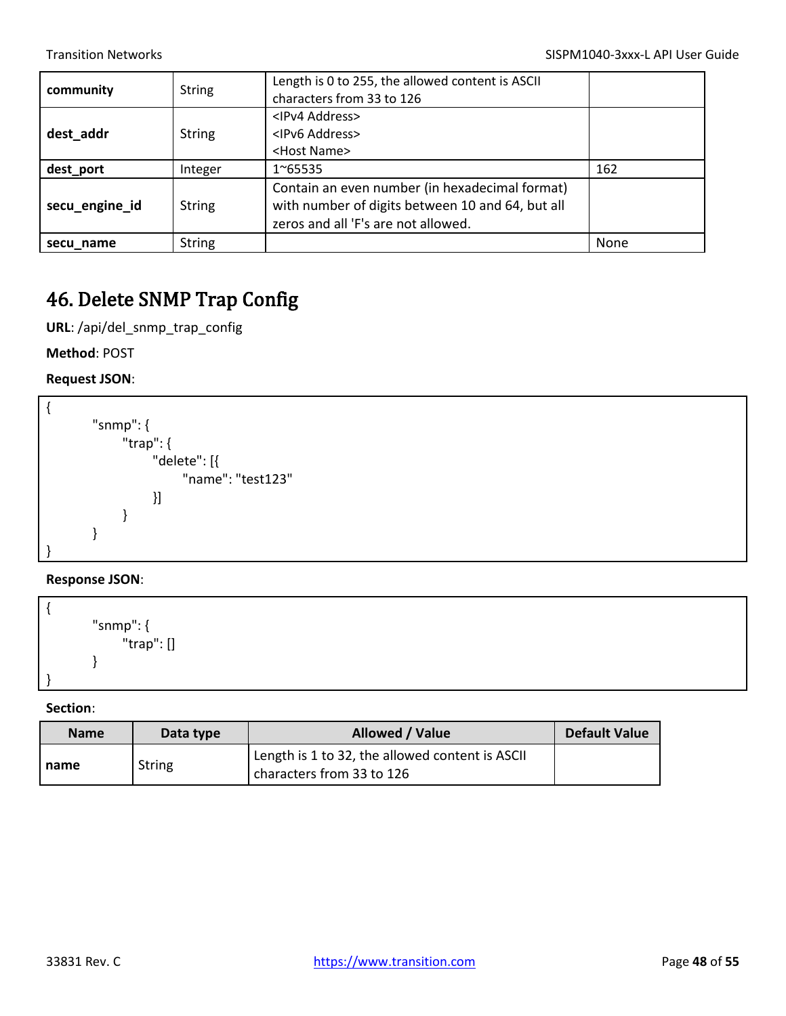| community      | <b>String</b> | Length is 0 to 255, the allowed content is ASCII<br>characters from 33 to 126                                                             |      |
|----------------|---------------|-------------------------------------------------------------------------------------------------------------------------------------------|------|
| dest_addr      | <b>String</b> | <ipv4 address=""><br/><ipv6 address=""><br/><host name=""></host></ipv6></ipv4>                                                           |      |
| dest_port      | Integer       | 1~65535                                                                                                                                   | 162  |
| secu_engine_id | <b>String</b> | Contain an even number (in hexadecimal format)<br>with number of digits between 10 and 64, but all<br>zeros and all 'F's are not allowed. |      |
| secu name      | <b>String</b> |                                                                                                                                           | None |

### <span id="page-47-0"></span>46. Delete SNMP Trap Config

**URL**: /api/del\_snmp\_trap\_config

**Method**: POST

**Request JSON**:



#### **Response JSON**:

{ "snmp": { "trap": [] } }

| <b>Name</b> | Data type     | Allowed / Value                                                              | Default Value |
|-------------|---------------|------------------------------------------------------------------------------|---------------|
| name        | <b>String</b> | Length is 1 to 32, the allowed content is ASCII<br>characters from 33 to 126 |               |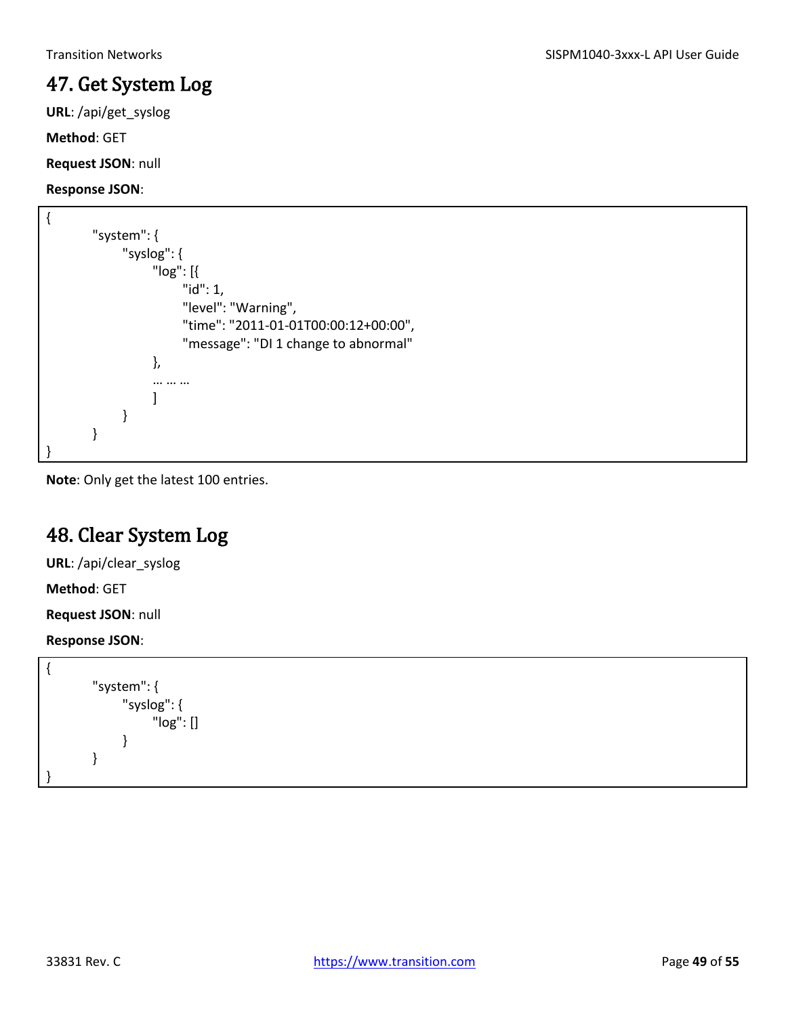### <span id="page-48-0"></span>47. Get System Log

**URL**: /api/get\_syslog

**Method**: GET

**Request JSON**: null

**Response JSON**:

```
{
       "system": {
             "syslog": {
                   "log": [{
                        "id": 1,
                       "level": "Warning",
                       "time": "2011-01-01T00:00:12+00:00",
                       "message": "DI 1 change to abnormal"
                   },
                   … … …
         ]
             }
       }
}
```
**Note**: Only get the latest 100 entries.

## <span id="page-48-1"></span>48. Clear System Log

**URL**: /api/clear\_syslog

**Method**: GET

**Request JSON**: null

```
{
         "system": {
                "syslog": {
                      "log": []
                }
         }
}
```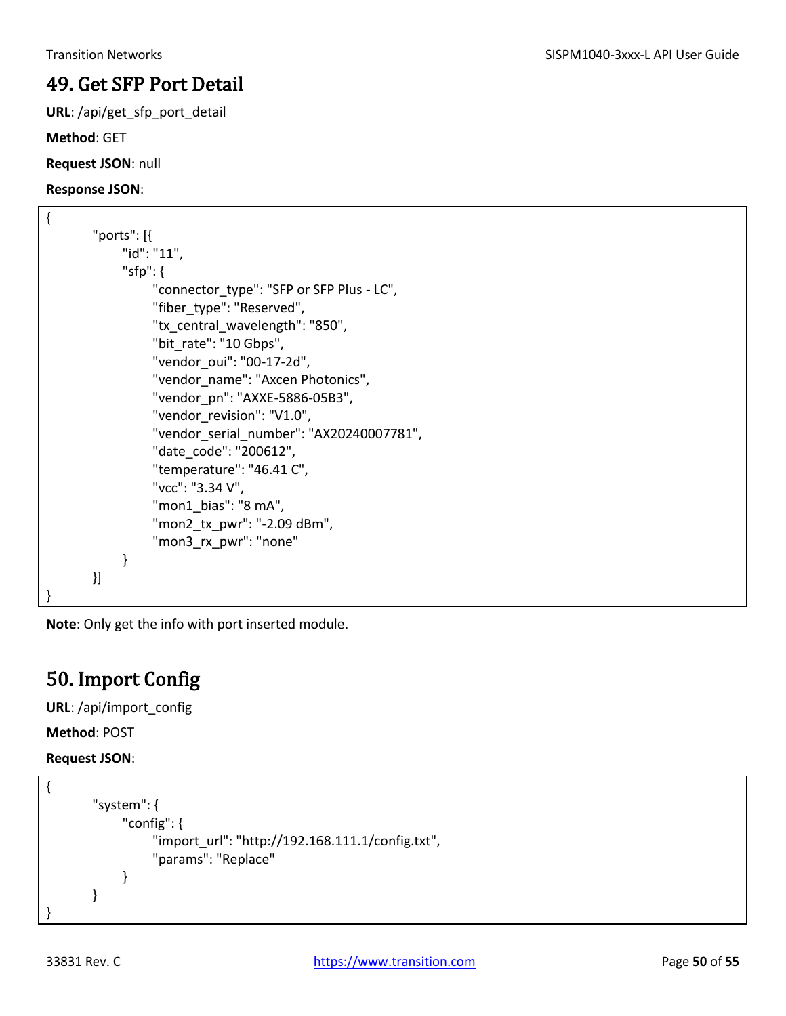### <span id="page-49-0"></span>49. Get SFP Port Detail

**URL**: /api/get\_sfp\_port\_detail

**Method**: GET

**Request JSON**: null

**Response JSON**:

```
{
        "ports": [{
              "id": "11",
              "sfp": {
                   "connector_type": "SFP or SFP Plus - LC",
                   "fiber_type": "Reserved",
                   "tx_central_wavelength": "850", 
                   "bit_rate": "10 Gbps", 
                   "vendor_oui": "00-17-2d", 
                   "vendor_name": "Axcen Photonics", 
                   "vendor_pn": "AXXE-5886-05B3", 
                   "vendor_revision": "V1.0", 
                   "vendor_serial_number": "AX20240007781", 
                   "date_code": "200612", 
                   "temperature": "46.41 C", 
                   "vcc": "3.34 V", 
                   "mon1_bias": "8 mA", 
                   "mon2_tx_pwr": "-2.09 dBm", 
                   "mon3_rx_pwr": "none" 
              } 
        }] 
}
```
**Note**: Only get the info with port inserted module.

### <span id="page-49-1"></span>50. Import Config

**URL**: /api/import\_config

**Method**: POST

**Request JSON**:

```
{
        "system": {
              "config": {
                    "import_url": "http://192.168.111.1/config.txt",
                    "params": "Replace"
              }
        }
}
```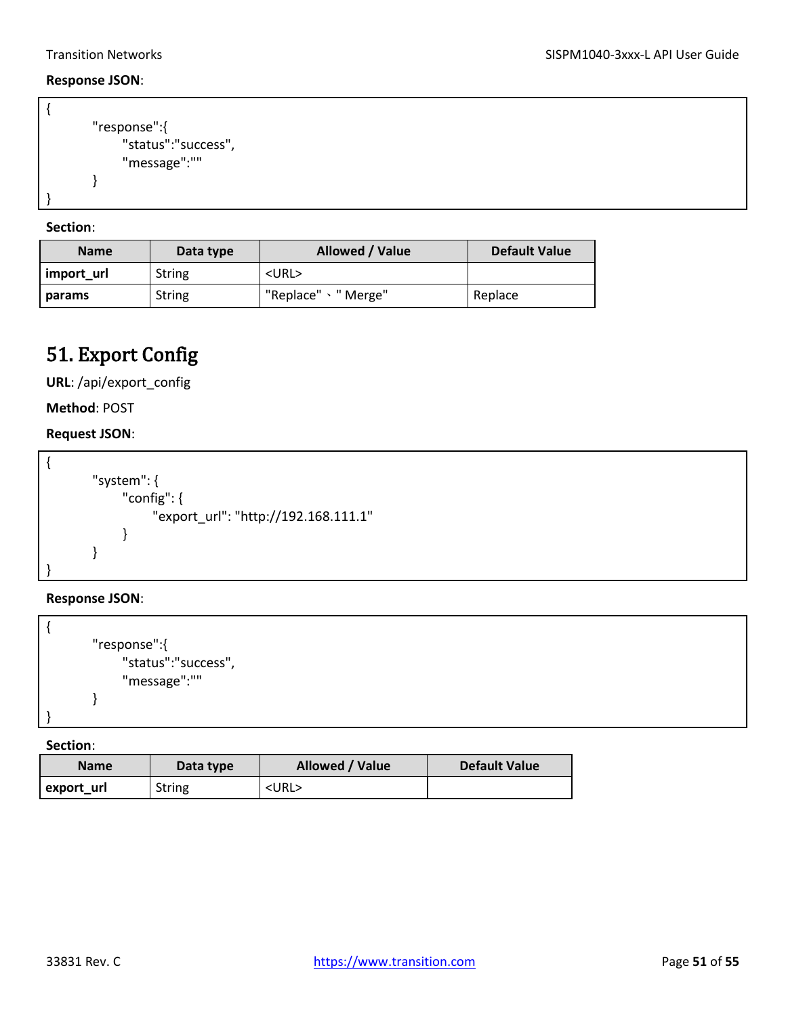#### **Response JSON**:

```
{
        "response":{
              "status":"success",
              "message":""
        }
}
```
**Section**:

| <b>Name</b> | Data type     | <b>Allowed / Value</b> | <b>Default Value</b> |
|-------------|---------------|------------------------|----------------------|
| import url  | <b>String</b> | $<$ URL $>$            |                      |
| params      | <b>String</b> | "Replace" 、" Merge"    | Replace              |

### <span id="page-50-0"></span>51. Export Config

**URL**: /api/export\_config

**Method**: POST

#### **Request JSON**:

```
{
        "system": {
              "config": {
                    "export_url": "http://192.168.111.1"
               }
        }
}
```
**Response JSON**:

```
{
        "response":{
              "status":"success",
              "message":""
        }
}
```

| <b>Name</b> | Data type | Allowed / Value | <b>Default Value</b> |
|-------------|-----------|-----------------|----------------------|
| export_url  | String    | $<$ URL $>$     |                      |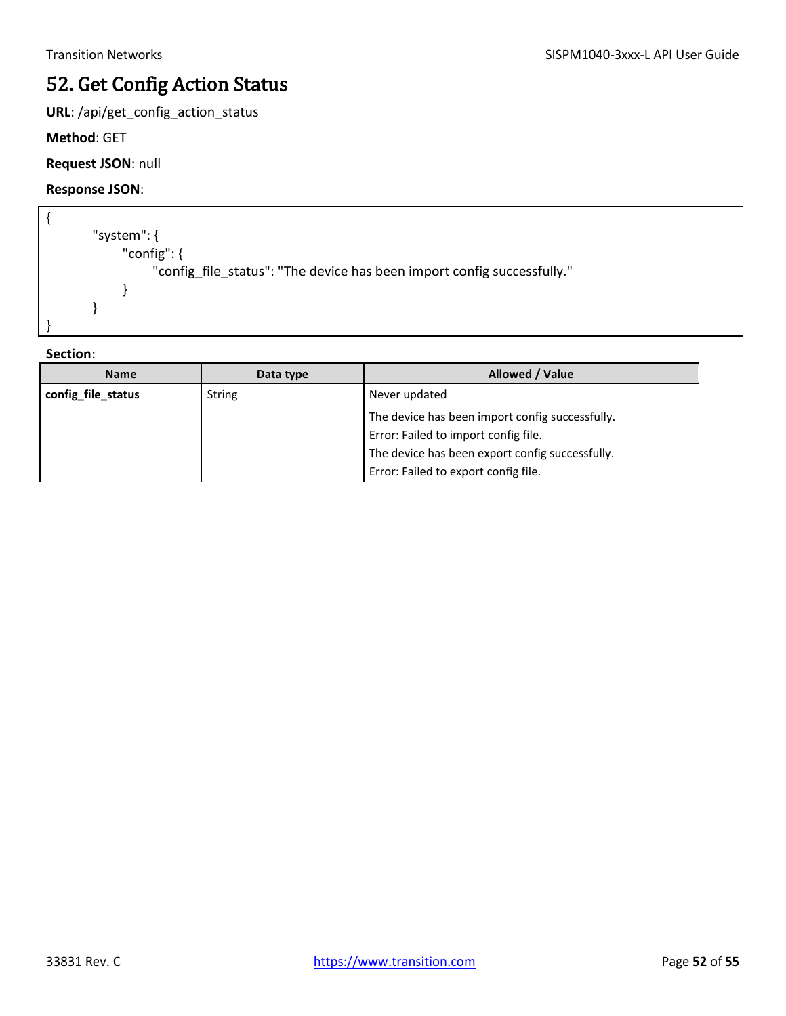## <span id="page-51-0"></span>52. Get Config Action Status

**URL**: /api/get\_config\_action\_status

**Method**: GET

**Request JSON**: null

**Response JSON**:

```
{
        "system": {
              "config": {
                   "config_file_status": "The device has been import config successfully."
              }
        }
}
```

| <b>Name</b>        | Data type     | Allowed / Value                                                                                                                                                                    |
|--------------------|---------------|------------------------------------------------------------------------------------------------------------------------------------------------------------------------------------|
| config_file_status | <b>String</b> | Never updated                                                                                                                                                                      |
|                    |               | The device has been import config successfully.<br>Error: Failed to import config file.<br>The device has been export config successfully.<br>Error: Failed to export config file. |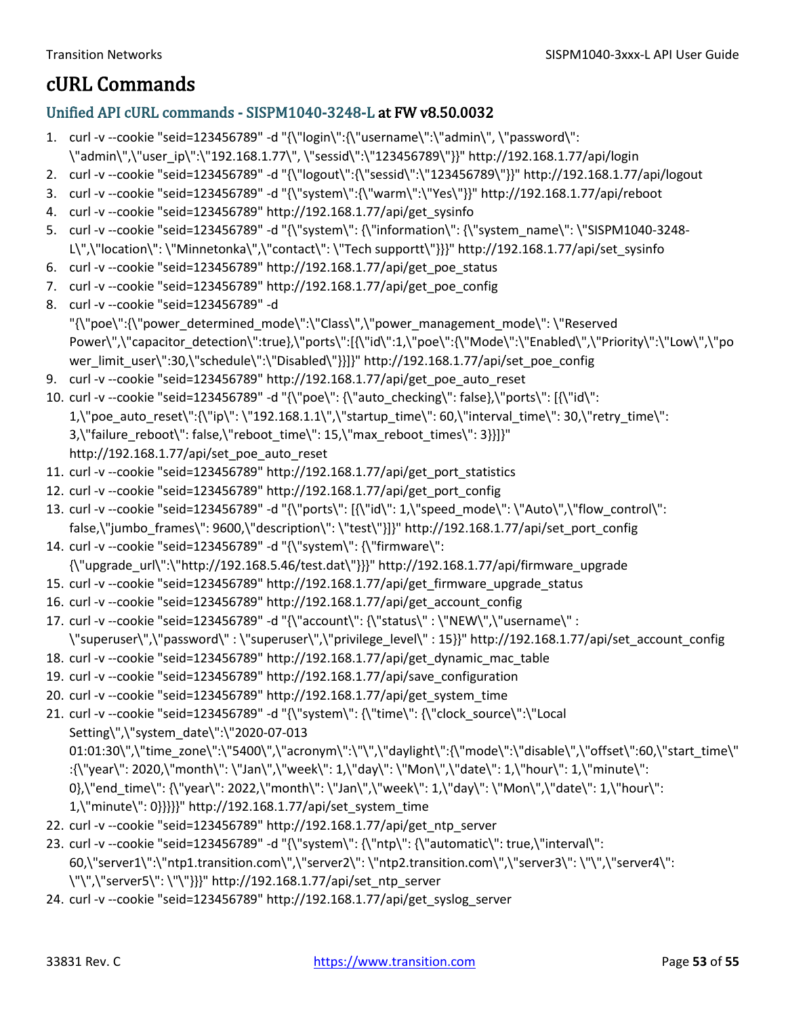### <span id="page-52-0"></span>cURL Commands

#### <span id="page-52-1"></span>Unified API cURL commands - SISPM1040-3248-L at FW v8.50.0032

- 1. curl -v --cookie "seid=123456789" -d "{\"login\":{\"username\":\"admin\", \"password\": \"admin\",\"user\_ip\":\"192.168.1.77\", \"sessid\":\"123456789\"}}" http://192.168.1.77/api/login
- 2. curl -v --cookie "seid=123456789" -d "{\"logout\":{\"sessid\":\"123456789\"}}" http://192.168.1.77/api/logout
- 3. curl -v --cookie "seid=123456789" -d "{\"system\":{\"warm\":\"Yes\"}}" http://192.168.1.77/api/reboot
- 4. curl -v --cookie "seid=123456789" http://192.168.1.77/api/get\_sysinfo
- 5. curl -v --cookie "seid=123456789" -d "{\"system\": {\"information\": {\"system\_name\": \"SISPM1040-3248- L\",\"location\": \"Minnetonka\",\"contact\": \"Tech supportt\"}}}" http://192.168.1.77/api/set\_sysinfo
- 6. curl -v --cookie "seid=123456789" http://192.168.1.77/api/get\_poe\_status
- 7. curl -v --cookie "seid=123456789" http://192.168.1.77/api/get\_poe\_config
- 8. curl -v --cookie "seid=123456789" -d "{\"poe\":{\"power\_determined\_mode\":\"Class\",\"power\_management\_mode\": \"Reserved Power\",\"capacitor\_detection\":true},\"ports\":[{\"id\":1,\"poe\":{\"Mode\":\"Enabled\",\"Priority\":\"Low\",\"po wer\_limit\_user\":30,\"schedule\":\"Disabled\"}}]}" http://192.168.1.77/api/set\_poe\_config
- 9. curl -v --cookie "seid=123456789" http://192.168.1.77/api/get\_poe\_auto\_reset
- 10. curl -v --cookie "seid=123456789" -d "{\"poe\": {\"auto\_checking\": false},\"ports\": [{\"id\": 1,\"poe\_auto\_reset\":{\"ip\": \"192.168.1.1\",\"startup\_time\": 60,\"interval\_time\": 30,\"retry\_time\": 3,\"failure\_reboot\": false,\"reboot\_time\": 15,\"max\_reboot\_times\": 3}}]}" http://192.168.1.77/api/set\_poe\_auto\_reset
- 11. curl -v --cookie "seid=123456789" http://192.168.1.77/api/get\_port\_statistics
- 12. curl -v --cookie "seid=123456789" http://192.168.1.77/api/get\_port\_config
- 13. curl -v --cookie "seid=123456789" -d "{\"ports\": [{\"id\": 1,\"speed\_mode\": \"Auto\",\"flow\_control\": false,\"jumbo\_frames\": 9600,\"description\": \"test\"}]}" http://192.168.1.77/api/set\_port\_config
- 14. curl -v --cookie "seid=123456789" -d "{\"system\": {\"firmware\": {\"upgrade\_url\":\"http://192.168.5.46/test.dat\"}}}" http://192.168.1.77/api/firmware\_upgrade
- 15. curl -v --cookie "seid=123456789" http://192.168.1.77/api/get\_firmware\_upgrade\_status
- 16. curl -v --cookie "seid=123456789" http://192.168.1.77/api/get\_account\_config
- 17. curl -v --cookie "seid=123456789" -d "{\"account\": {\"status\" : \"NEW\",\"username\" : \"superuser\",\"password\" : \"superuser\",\"privilege\_level\" : 15}}" http://192.168.1.77/api/set\_account\_config
- 18. curl -v --cookie "seid=123456789" http://192.168.1.77/api/get\_dynamic\_mac\_table
- 19. curl -v --cookie "seid=123456789" http://192.168.1.77/api/save\_configuration
- 20. curl -v --cookie "seid=123456789" http://192.168.1.77/api/get\_system\_time
- 21. curl -v --cookie "seid=123456789" -d "{\"system\": {\"time\": {\"clock\_source\":\"Local Setting\",\"system\_date\":\"2020-07-013 01:01:30\",\"time\_zone\":\"5400\",\"acronym\":\"\",\"daylight\":{\"mode\":\"disable\",\"offset\":60,\"start\_time\" :{\"year\": 2020,\"month\": \"Jan\",\"week\": 1,\"day\": \"Mon\",\"date\": 1,\"hour\": 1,\"minute\": 0},\"end\_time\": {\"year\": 2022,\"month\": \"Jan\",\"week\": 1,\"day\": \"Mon\",\"date\": 1,\"hour\": 1,\"minute\": 0}}}}}" http://192.168.1.77/api/set\_system\_time 22. curl -v --cookie "seid=123456789" http://192.168.1.77/api/get\_ntp\_server
- 23. curl -v --cookie "seid=123456789" -d "{\"system\": {\"ntp\": {\"automatic\": true,\"interval\":
- 60,\"server1\":\"ntp1.transition.com\",\"server2\": \"ntp2.transition.com\",\"server3\": \"\",\"server4\": \"\",\"server5\": \"\"}}}" http://192.168.1.77/api/set\_ntp\_server
- 24. curl -v --cookie "seid=123456789" http://192.168.1.77/api/get\_syslog\_server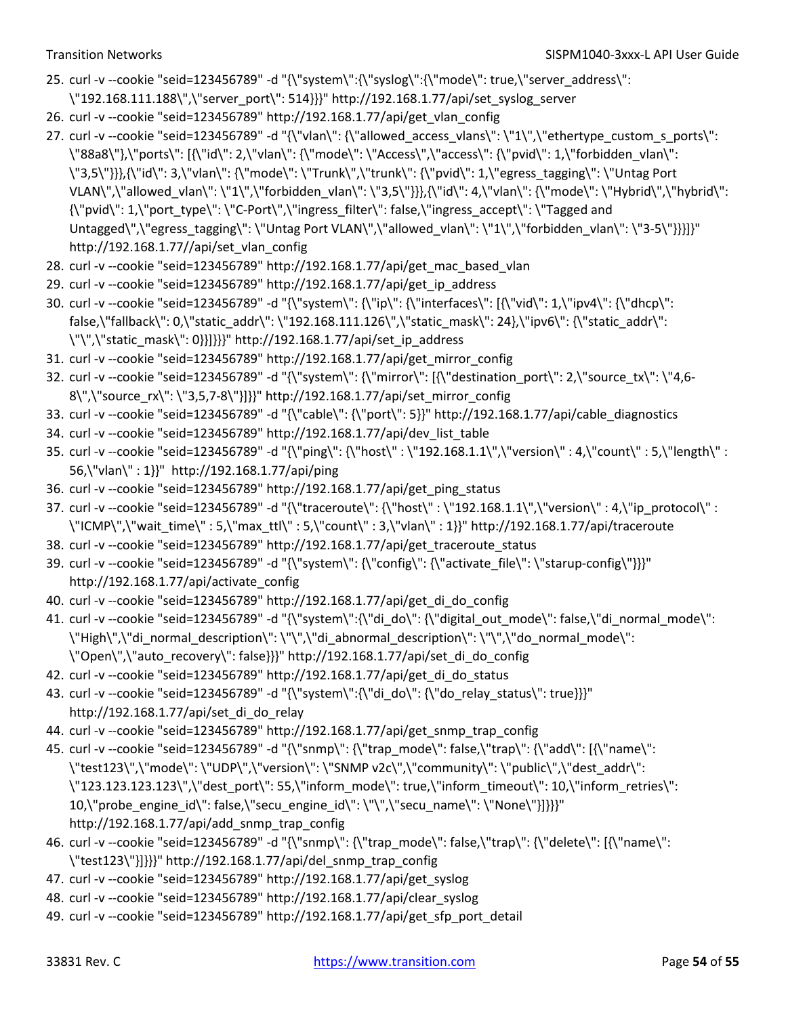- 25. curl -v --cookie "seid=123456789" -d "{\"system\":{\"syslog\":{\"mode\": true,\"server\_address\": \"192.168.111.188\",\"server\_port\": 514}}}" http://192.168.1.77/api/set\_syslog\_server
- 26. curl -v --cookie "seid=123456789" http://192.168.1.77/api/get\_vlan\_config
- 27. curl -v --cookie "seid=123456789" -d "{\"vlan\": {\"allowed\_access\_vlans\": \"1\",\"ethertype\_custom\_s\_ports\": \"88a8\"},\"ports\": [{\"id\": 2,\"vlan\": {\"mode\": \"Access\",\"access\": {\"pvid\": 1,\"forbidden\_vlan\": \"3,5\"}}},{\"id\": 3,\"vlan\": {\"mode\": \"Trunk\",\"trunk\": {\"pvid\": 1,\"egress\_tagging\": \"Untag Port VLAN\",\"allowed\_vlan\": \"1\",\"forbidden\_vlan\": \"3,5\"}}},{\"id\": 4,\"vlan\": {\"mode\": \"Hybrid\",\"hybrid\": {\"pvid\": 1,\"port\_type\": \"C-Port\",\"ingress\_filter\": false,\"ingress\_accept\": \"Tagged and Untagged\",\"egress\_tagging\": \"Untag Port VLAN\",\"allowed\_vlan\": \"1\",\"forbidden\_vlan\": \"3-5\"}}}]}" http://192.168.1.77//api/set\_vlan\_config
- 28. curl -v --cookie "seid=123456789" http://192.168.1.77/api/get\_mac\_based\_vlan
- 29. curl -v --cookie "seid=123456789" http://192.168.1.77/api/get\_ip\_address
- 30. curl -v --cookie "seid=123456789" -d "{\"system\": {\"ip\": {\"interfaces\": [{\"vid\": 1,\"ipv4\": {\"dhcp\": false,\"fallback\": 0,\"static\_addr\": \"192.168.111.126\",\"static\_mask\": 24},\"ipv6\": {\"static\_addr\": \"\",\"static\_mask\": 0}}]}}}" http://192.168.1.77/api/set\_ip\_address
- 31. curl -v --cookie "seid=123456789" http://192.168.1.77/api/get\_mirror\_config
- 32. curl -v --cookie "seid=123456789" -d "{\"system\": {\"mirror\": [{\"destination\_port\": 2,\"source\_tx\": \"4,6- 8\",\"source\_rx\": \"3,5,7-8\"}]}}" http://192.168.1.77/api/set\_mirror\_config
- 33. curl -v --cookie "seid=123456789" -d "{\"cable\": {\"port\": 5}}" http://192.168.1.77/api/cable\_diagnostics
- 34. curl -v --cookie "seid=123456789" http://192.168.1.77/api/dev\_list\_table
- 35. curl -v --cookie "seid=123456789" -d "{\"ping\": {\"host\" : \"192.168.1.1\",\"version\" : 4,\"count\" : 5,\"length\" : 56,\"vlan\" : 1}}" http://192.168.1.77/api/ping
- 36. curl -v --cookie "seid=123456789" http://192.168.1.77/api/get\_ping\_status
- 37. curl -v --cookie "seid=123456789" -d "{\"traceroute\": {\"host\" : \"192.168.1.1\",\"version\" : 4,\"ip\_protocol\" : \"ICMP\",\"wait\_time\" : 5,\"max\_ttl\" : 5,\"count\" : 3,\"vlan\" : 1}}" http://192.168.1.77/api/traceroute
- 38. curl -v --cookie "seid=123456789" http://192.168.1.77/api/get\_traceroute\_status
- 39. curl -v --cookie "seid=123456789" -d "{\"system\": {\"config\": {\"activate\_file\": \"starup-config\"}}}" http://192.168.1.77/api/activate\_config
- 40. curl -v --cookie "seid=123456789" http://192.168.1.77/api/get\_di\_do\_config
- 41. curl -v --cookie "seid=123456789" -d "{\"system\":{\"di\_do\": {\"digital\_out\_mode\": false,\"di\_normal\_mode\": \"High\",\"di\_normal\_description\": \"\",\"di\_abnormal\_description\": \"\",\"do\_normal\_mode\": \"Open\",\"auto\_recovery\": false}}}" http://192.168.1.77/api/set\_di\_do\_config
- 42. curl -v --cookie "seid=123456789" http://192.168.1.77/api/get\_di\_do\_status
- 43. curl -v --cookie "seid=123456789" -d "{\"system\":{\"di\_do\": {\"do\_relay\_status\": true}}}" http://192.168.1.77/api/set\_di\_do\_relay
- 44. curl -v --cookie "seid=123456789" http://192.168.1.77/api/get\_snmp\_trap\_config
- 45. curl -v --cookie "seid=123456789" -d "{\"snmp\": {\"trap\_mode\": false,\"trap\": {\"add\": [{\"name\": \"test123\",\"mode\": \"UDP\",\"version\": \"SNMP v2c\",\"community\": \"public\",\"dest\_addr\": \"123.123.123.123\",\"dest\_port\": 55,\"inform\_mode\": true,\"inform\_timeout\": 10,\"inform\_retries\": 10,\"probe\_engine\_id\": false,\"secu\_engine\_id\": \"\",\"secu\_name\": \"None\"}]}}}" http://192.168.1.77/api/add\_snmp\_trap\_config
- 46. curl -v --cookie "seid=123456789" -d "{\"snmp\": {\"trap\_mode\": false,\"trap\": {\"delete\": [{\"name\": \"test123\"}]}}}" http://192.168.1.77/api/del\_snmp\_trap\_config
- 47. curl -v --cookie "seid=123456789" http://192.168.1.77/api/get\_syslog
- 48. curl -v --cookie "seid=123456789" http://192.168.1.77/api/clear\_syslog
- 49. curl -v --cookie "seid=123456789" http://192.168.1.77/api/get\_sfp\_port\_detail